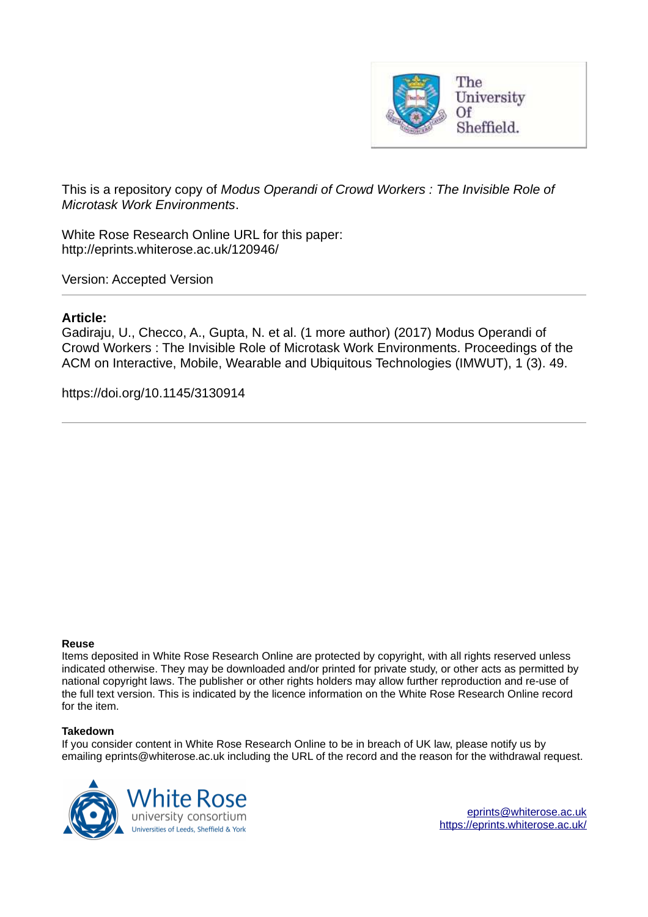

This is a repository copy of *Modus Operandi of Crowd Workers : The Invisible Role of Microtask Work Environments*.

White Rose Research Online URL for this paper: http://eprints.whiterose.ac.uk/120946/

Version: Accepted Version

# **Article:**

Gadiraju, U., Checco, A., Gupta, N. et al. (1 more author) (2017) Modus Operandi of Crowd Workers : The Invisible Role of Microtask Work Environments. Proceedings of the ACM on Interactive, Mobile, Wearable and Ubiquitous Technologies (IMWUT), 1 (3). 49.

https://doi.org/10.1145/3130914

# **Reuse**

Items deposited in White Rose Research Online are protected by copyright, with all rights reserved unless indicated otherwise. They may be downloaded and/or printed for private study, or other acts as permitted by national copyright laws. The publisher or other rights holders may allow further reproduction and re-use of the full text version. This is indicated by the licence information on the White Rose Research Online record for the item.

# **Takedown**

If you consider content in White Rose Research Online to be in breach of UK law, please notify us by emailing eprints@whiterose.ac.uk including the URL of the record and the reason for the withdrawal request.

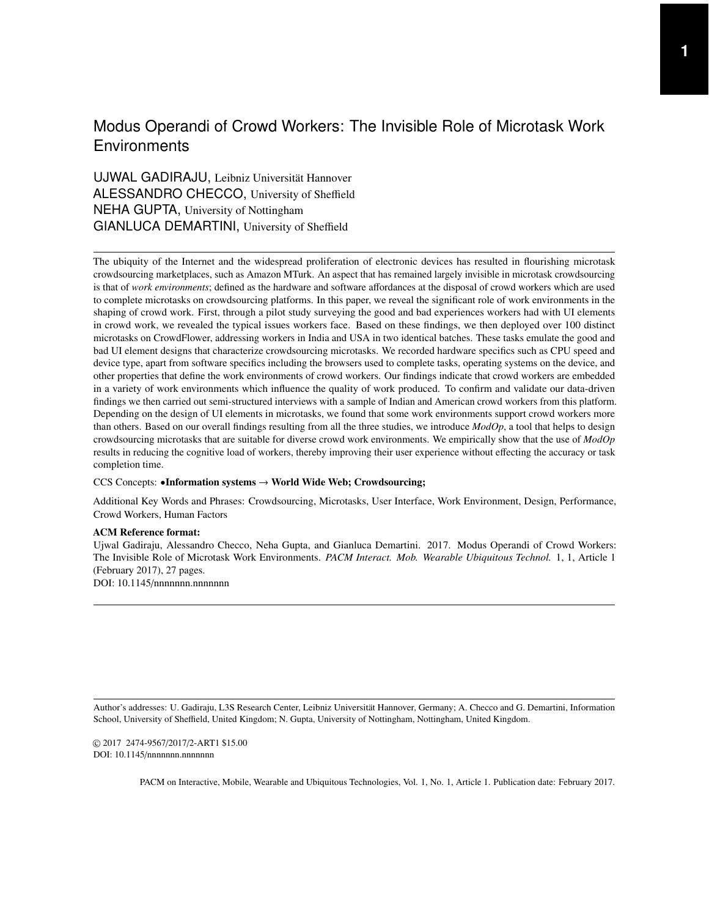# UJWAL GADIRAJU, Leibniz Universität Hannover ALESSANDRO CHECCO, University of Sheffield NEHA GUPTA, University of Nottingham GIANLUCA DEMARTINI, University of Sheffield

The ubiquity of the Internet and the widespread proliferation of electronic devices has resulted in flourishing microtask crowdsourcing marketplaces, such as Amazon MTurk. An aspect that has remained largely invisible in microtask crowdsourcing is that of *work environments*; defined as the hardware and software affordances at the disposal of crowd workers which are used to complete microtasks on crowdsourcing platforms. In this paper, we reveal the significant role of work environments in the shaping of crowd work. First, through a pilot study surveying the good and bad experiences workers had with UI elements in crowd work, we revealed the typical issues workers face. Based on these findings, we then deployed over 100 distinct microtasks on CrowdFlower, addressing workers in India and USA in two identical batches. These tasks emulate the good and bad UI element designs that characterize crowdsourcing microtasks. We recorded hardware specifics such as CPU speed and device type, apart from software specifics including the browsers used to complete tasks, operating systems on the device, and other properties that define the work environments of crowd workers. Our findings indicate that crowd workers are embedded in a variety of work environments which influence the quality of work produced. To confirm and validate our data-driven findings we then carried out semi-structured interviews with a sample of Indian and American crowd workers from this platform. Depending on the design of UI elements in microtasks, we found that some work environments support crowd workers more than others. Based on our overall findings resulting from all the three studies, we introduce *ModOp*, a tool that helps to design crowdsourcing microtasks that are suitable for diverse crowd work environments. We empirically show that the use of *ModOp* results in reducing the cognitive load of workers, thereby improving their user experience without effecting the accuracy or task completion time.

### CCS Concepts: •Information systems → World Wide Web; Crowdsourcing;

Additional Key Words and Phrases: Crowdsourcing, Microtasks, User Interface, Work Environment, Design, Performance, Crowd Workers, Human Factors

#### ACM Reference format:

Ujwal Gadiraju, Alessandro Checco, Neha Gupta, and Gianluca Demartini. 2017. Modus Operandi of Crowd Workers: The Invisible Role of Microtask Work Environments. *PACM Interact. Mob. Wearable Ubiquitous Technol.* 1, 1, Article 1 (February 2017), [27](#page-26-0) pages.

DOI: 10.1145/nnnnnnn.nnnnnnn

Author's addresses: U. Gadiraju, L3S Research Center, Leibniz Universität Hannover, Germany; A. Checco and G. Demartini, Information School, University of Sheffield, United Kingdom; N. Gupta, University of Nottingham, Nottingham, United Kingdom.

<span id="page-1-2"></span><span id="page-1-1"></span><span id="page-1-0"></span>© 2017 2474-9567/2017/2-ART1 \$15.00 DOI: 10.1145/nnnnnnn.nnnnnnn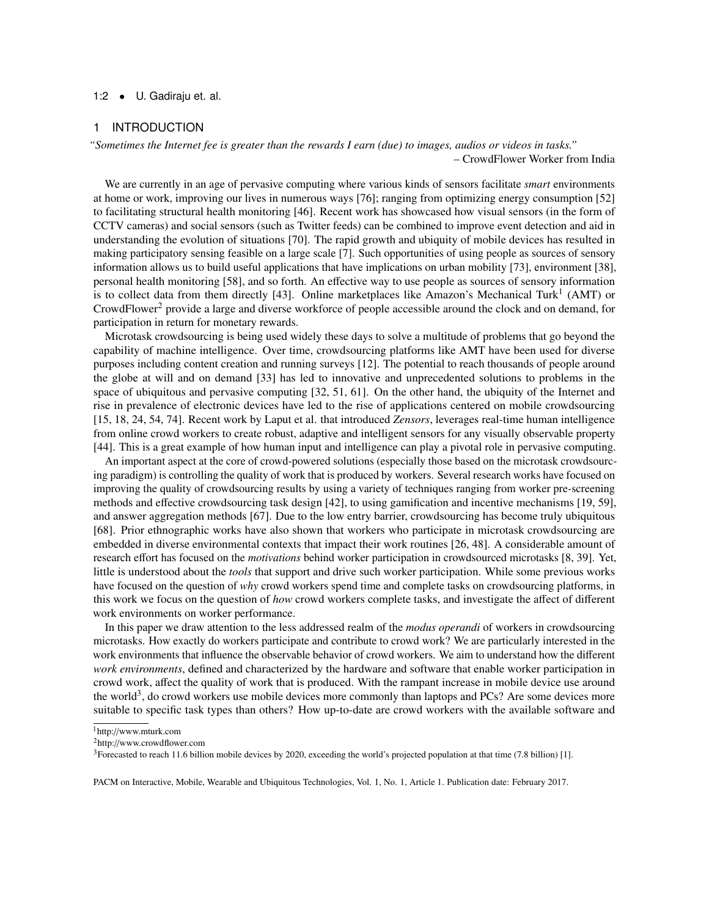### 1:2 • U. Gadiraju et. al.

### 1 INTRODUCTION

*"Sometimes the Internet fee is greater than the rewards I earn (due) to images, audios or videos in tasks."* – CrowdFlower Worker from India

We are currently in an age of pervasive computing where various kinds of sensors facilitate *smart* environments at home or work, improving our lives in numerous ways [\[76\]](#page-26-1); ranging from optimizing energy consumption [\[52\]](#page-26-2) to facilitating structural health monitoring [\[46\]](#page-25-0). Recent work has showcased how visual sensors (in the form of CCTV cameras) and social sensors (such as Twitter feeds) can be combined to improve event detection and aid in understanding the evolution of situations [\[70\]](#page-26-3). The rapid growth and ubiquity of mobile devices has resulted in making participatory sensing feasible on a large scale [\[7\]](#page-24-0). Such opportunities of using people as sources of sensory information allows us to build useful applications that have implications on urban mobility [\[73\]](#page-26-4), environment [\[38\]](#page-25-1), personal health monitoring [\[58\]](#page-26-5), and so forth. An effective way to use people as sources of sensory information is to collect data from them directly [\[43\]](#page-25-2). Online marketplaces like Amazon's Mechanical Turk<sup>[1](#page-1-0)</sup> (AMT) or CrowdFlower[2](#page-1-1) provide a large and diverse workforce of people accessible around the clock and on demand, for participation in return for monetary rewards.

Microtask crowdsourcing is being used widely these days to solve a multitude of problems that go beyond the capability of machine intelligence. Over time, crowdsourcing platforms like AMT have been used for diverse purposes including content creation and running surveys [\[12\]](#page-24-1). The potential to reach thousands of people around the globe at will and on demand [\[33\]](#page-25-3) has led to innovative and unprecedented solutions to problems in the space of ubiquitous and pervasive computing [\[32,](#page-25-4) [51,](#page-26-6) [61\]](#page-26-7). On the other hand, the ubiquity of the Internet and rise in prevalence of electronic devices have led to the rise of applications centered on mobile crowdsourcing [\[15,](#page-24-2) [18,](#page-24-3) [24,](#page-25-5) [54,](#page-26-8) [74\]](#page-26-9). Recent work by Laput et al. that introduced *Zensors*, leverages real-time human intelligence from online crowd workers to create robust, adaptive and intelligent sensors for any visually observable property [\[44\]](#page-25-6). This is a great example of how human input and intelligence can play a pivotal role in pervasive computing.

An important aspect at the core of crowd-powered solutions (especially those based on the microtask crowdsourcing paradigm) is controlling the quality of work that is produced by workers. Several research works have focused on improving the quality of crowdsourcing results by using a variety of techniques ranging from worker pre-screening methods and effective crowdsourcing task design [\[42\]](#page-25-7), to using gamification and incentive mechanisms [\[19,](#page-24-4) [59\]](#page-26-10), and answer aggregation methods [\[67\]](#page-26-11). Due to the low entry barrier, crowdsourcing has become truly ubiquitous [\[68\]](#page-26-12). Prior ethnographic works have also shown that workers who participate in microtask crowdsourcing are embedded in diverse environmental contexts that impact their work routines [\[26,](#page-25-8) [48\]](#page-25-9). A considerable amount of research effort has focused on the *motivations* behind worker participation in crowdsourced microtasks [\[8,](#page-24-5) [39\]](#page-25-10). Yet, little is understood about the *tools* that support and drive such worker participation. While some previous works have focused on the question of *why* crowd workers spend time and complete tasks on crowdsourcing platforms, in this work we focus on the question of *how* crowd workers complete tasks, and investigate the affect of different work environments on worker performance.

In this paper we draw attention to the less addressed realm of the *modus operandi* of workers in crowdsourcing microtasks. How exactly do workers participate and contribute to crowd work? We are particularly interested in the work environments that influence the observable behavior of crowd workers. We aim to understand how the different *work environments*, defined and characterized by the hardware and software that enable worker participation in crowd work, affect the quality of work that is produced. With the rampant increase in mobile device use around the world<sup>[3](#page-1-2)</sup>, do crowd workers use mobile devices more commonly than laptops and PCs? Are some devices more suitable to specific task types than others? How up-to-date are crowd workers with the available software and

<sup>1</sup>http://[www.mturk.com](http://www.mturk.com)

<sup>2</sup>http://[www.crowdflower.com](http://www.crowdflower.com)

<span id="page-2-0"></span><sup>&</sup>lt;sup>3</sup>Forecasted to reach 11.6 billion mobile devices by 2020, exceeding the world's projected population at that time (7.8 billion) [\[1\]](#page-24-6).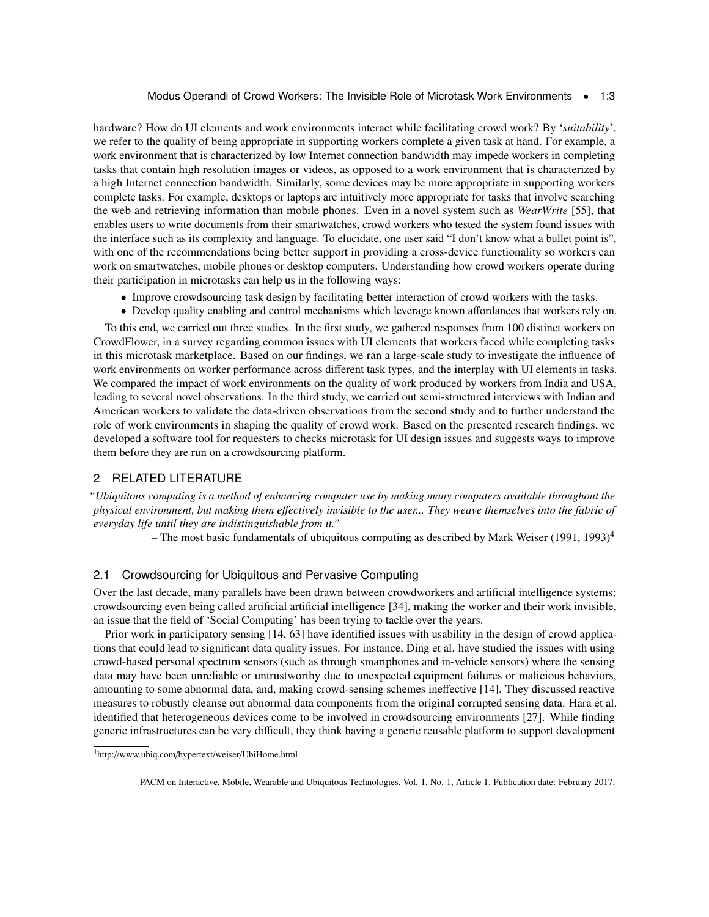hardware? How do UI elements and work environments interact while facilitating crowd work? By '*suitability*', we refer to the quality of being appropriate in supporting workers complete a given task at hand. For example, a work environment that is characterized by low Internet connection bandwidth may impede workers in completing tasks that contain high resolution images or videos, as opposed to a work environment that is characterized by a high Internet connection bandwidth. Similarly, some devices may be more appropriate in supporting workers complete tasks. For example, desktops or laptops are intuitively more appropriate for tasks that involve searching the web and retrieving information than mobile phones. Even in a novel system such as *WearWrite* [\[55\]](#page-26-13), that enables users to write documents from their smartwatches, crowd workers who tested the system found issues with the interface such as its complexity and language. To elucidate, one user said "I don't know what a bullet point is", with one of the recommendations being better support in providing a cross-device functionality so workers can work on smartwatches, mobile phones or desktop computers. Understanding how crowd workers operate during their participation in microtasks can help us in the following ways:

- Improve crowdsourcing task design by facilitating better interaction of crowd workers with the tasks.
- Develop quality enabling and control mechanisms which leverage known affordances that workers rely on.

To this end, we carried out three studies. In the first study, we gathered responses from 100 distinct workers on CrowdFlower, in a survey regarding common issues with UI elements that workers faced while completing tasks in this microtask marketplace. Based on our findings, we ran a large-scale study to investigate the influence of work environments on worker performance across different task types, and the interplay with UI elements in tasks. We compared the impact of work environments on the quality of work produced by workers from India and USA, leading to several novel observations. In the third study, we carried out semi-structured interviews with Indian and American workers to validate the data-driven observations from the second study and to further understand the role of work environments in shaping the quality of crowd work. Based on the presented research findings, we developed a software tool for requesters to checks microtask for UI design issues and suggests ways to improve them before they are run on a crowdsourcing platform.

## 2 RELATED LITERATURE

*"Ubiquitous computing is a method of enhancing computer use by making many computers available throughout the physical environment, but making them e*ff*ectively invisible to the user... They weave themselves into the fabric of everyday life until they are indistinguishable from it."*

– The most basic fundamentals of ubiquitous computing as described by Mark Weiser (1991, 1993)<sup>[4](#page-2-0)</sup>

# 2.1 Crowdsourcing for Ubiquitous and Pervasive Computing

Over the last decade, many parallels have been drawn between crowdworkers and artificial intelligence systems; crowdsourcing even being called artificial artificial intelligence [\[34\]](#page-25-11), making the worker and their work invisible, an issue that the field of 'Social Computing' has been trying to tackle over the years.

Prior work in participatory sensing [\[14,](#page-24-7) [63\]](#page-26-14) have identified issues with usability in the design of crowd applications that could lead to significant data quality issues. For instance, Ding et al. have studied the issues with using crowd-based personal spectrum sensors (such as through smartphones and in-vehicle sensors) where the sensing data may have been unreliable or untrustworthy due to unexpected equipment failures or malicious behaviors, amounting to some abnormal data, and, making crowd-sensing schemes ineffective [\[14\]](#page-24-7). They discussed reactive measures to robustly cleanse out abnormal data components from the original corrupted sensing data. Hara et al. identified that heterogeneous devices come to be involved in crowdsourcing environments [\[27\]](#page-25-12). While finding generic infrastructures can be very difficult, they think having a generic reusable platform to support development

<sup>4</sup>http://[www.ubiq.com](http://www.ubiq.com/hypertext/weiser/UbiHome.html)/hypertext/weiser/UbiHome.html

PACM on Interactive, Mobile, Wearable and Ubiquitous Technologies, Vol. 1, No. 1, Article 1. Publication date: February 2017.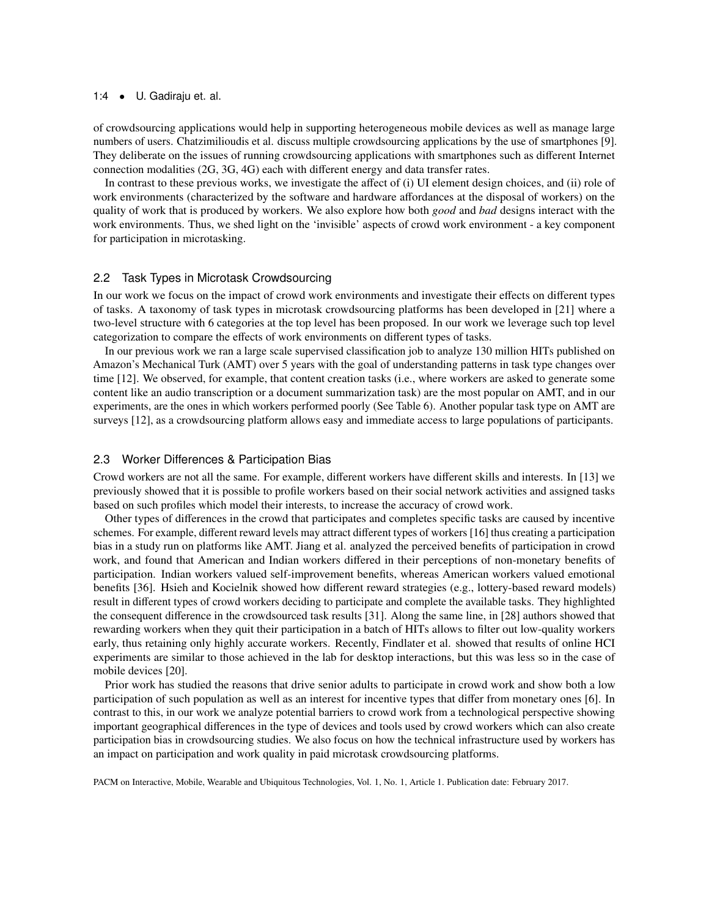### 1:4 • U. Gadiraju et. al.

of crowdsourcing applications would help in supporting heterogeneous mobile devices as well as manage large numbers of users. Chatzimilioudis et al. discuss multiple crowdsourcing applications by the use of smartphones [\[9\]](#page-24-8). They deliberate on the issues of running crowdsourcing applications with smartphones such as different Internet connection modalities (2G, 3G, 4G) each with different energy and data transfer rates.

In contrast to these previous works, we investigate the affect of (i) UI element design choices, and (ii) role of work environments (characterized by the software and hardware affordances at the disposal of workers) on the quality of work that is produced by workers. We also explore how both *good* and *bad* designs interact with the work environments. Thus, we shed light on the 'invisible' aspects of crowd work environment - a key component for participation in microtasking.

### 2.2 Task Types in Microtask Crowdsourcing

In our work we focus on the impact of crowd work environments and investigate their effects on different types of tasks. A taxonomy of task types in microtask crowdsourcing platforms has been developed in [\[21\]](#page-24-9) where a two-level structure with 6 categories at the top level has been proposed. In our work we leverage such top level categorization to compare the effects of work environments on different types of tasks.

In our previous work we ran a large scale supervised classification job to analyze 130 million HITs published on Amazon's Mechanical Turk (AMT) over 5 years with the goal of understanding patterns in task type changes over time [\[12\]](#page-24-1). We observed, for example, that content creation tasks (i.e., where workers are asked to generate some content like an audio transcription or a document summarization task) are the most popular on AMT, and in our experiments, are the ones in which workers performed poorly (See Table [6\)](#page-15-0). Another popular task type on AMT are surveys [\[12\]](#page-24-1), as a crowdsourcing platform allows easy and immediate access to large populations of participants.

# 2.3 Worker Differences & Participation Bias

Crowd workers are not all the same. For example, different workers have different skills and interests. In [\[13\]](#page-24-10) we previously showed that it is possible to profile workers based on their social network activities and assigned tasks based on such profiles which model their interests, to increase the accuracy of crowd work.

Other types of differences in the crowd that participates and completes specific tasks are caused by incentive schemes. For example, different reward levels may attract different types of workers [\[16\]](#page-24-11) thus creating a participation bias in a study run on platforms like AMT. Jiang et al. analyzed the perceived benefits of participation in crowd work, and found that American and Indian workers differed in their perceptions of non-monetary benefits of participation. Indian workers valued self-improvement benefits, whereas American workers valued emotional benefits [\[36\]](#page-25-13). Hsieh and Kocielnik showed how different reward strategies (e.g., lottery-based reward models) result in different types of crowd workers deciding to participate and complete the available tasks. They highlighted the consequent difference in the crowdsourced task results [\[31\]](#page-25-14). Along the same line, in [\[28\]](#page-25-15) authors showed that rewarding workers when they quit their participation in a batch of HITs allows to filter out low-quality workers early, thus retaining only highly accurate workers. Recently, Findlater et al. showed that results of online HCI experiments are similar to those achieved in the lab for desktop interactions, but this was less so in the case of mobile devices [\[20\]](#page-24-12).

Prior work has studied the reasons that drive senior adults to participate in crowd work and show both a low participation of such population as well as an interest for incentive types that differ from monetary ones [\[6\]](#page-24-13). In contrast to this, in our work we analyze potential barriers to crowd work from a technological perspective showing important geographical differences in the type of devices and tools used by crowd workers which can also create participation bias in crowdsourcing studies. We also focus on how the technical infrastructure used by workers has an impact on participation and work quality in paid microtask crowdsourcing platforms.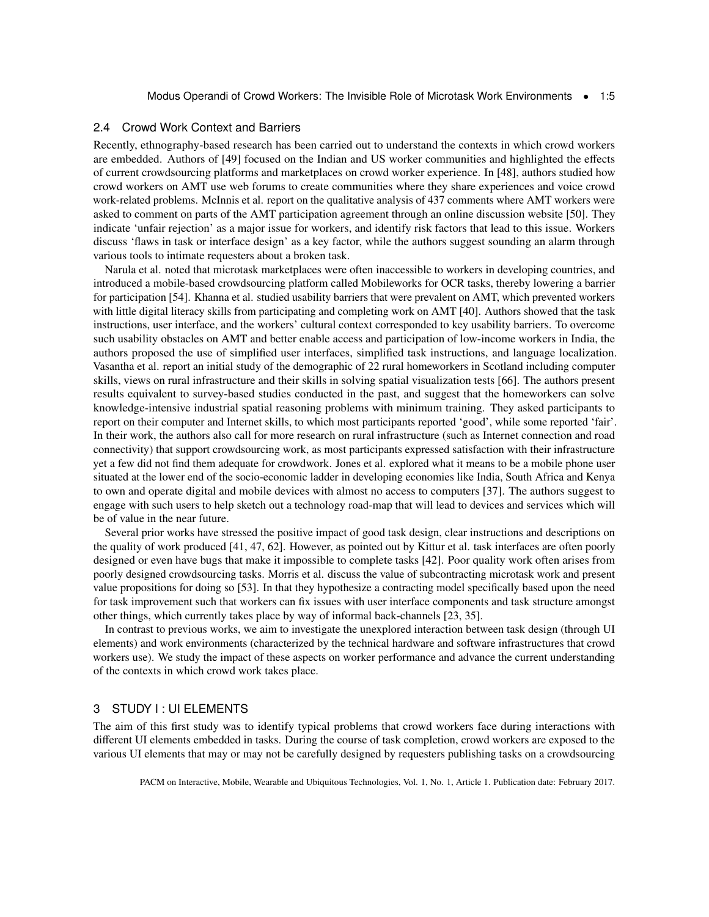### 2.4 Crowd Work Context and Barriers

Recently, ethnography-based research has been carried out to understand the contexts in which crowd workers are embedded. Authors of [\[49\]](#page-25-16) focused on the Indian and US worker communities and highlighted the effects of current crowdsourcing platforms and marketplaces on crowd worker experience. In [\[48\]](#page-25-9), authors studied how crowd workers on AMT use web forums to create communities where they share experiences and voice crowd work-related problems. McInnis et al. report on the qualitative analysis of 437 comments where AMT workers were asked to comment on parts of the AMT participation agreement through an online discussion website [\[50\]](#page-25-17). They indicate 'unfair rejection' as a major issue for workers, and identify risk factors that lead to this issue. Workers discuss 'flaws in task or interface design' as a key factor, while the authors suggest sounding an alarm through various tools to intimate requesters about a broken task.

Narula et al. noted that microtask marketplaces were often inaccessible to workers in developing countries, and introduced a mobile-based crowdsourcing platform called Mobileworks for OCR tasks, thereby lowering a barrier for participation [\[54\]](#page-26-8). Khanna et al. studied usability barriers that were prevalent on AMT, which prevented workers with little digital literacy skills from participating and completing work on AMT [\[40\]](#page-25-18). Authors showed that the task instructions, user interface, and the workers' cultural context corresponded to key usability barriers. To overcome such usability obstacles on AMT and better enable access and participation of low-income workers in India, the authors proposed the use of simplified user interfaces, simplified task instructions, and language localization. Vasantha et al. report an initial study of the demographic of 22 rural homeworkers in Scotland including computer skills, views on rural infrastructure and their skills in solving spatial visualization tests [\[66\]](#page-26-15). The authors present results equivalent to survey-based studies conducted in the past, and suggest that the homeworkers can solve knowledge-intensive industrial spatial reasoning problems with minimum training. They asked participants to report on their computer and Internet skills, to which most participants reported 'good', while some reported 'fair'. In their work, the authors also call for more research on rural infrastructure (such as Internet connection and road connectivity) that support crowdsourcing work, as most participants expressed satisfaction with their infrastructure yet a few did not find them adequate for crowdwork. Jones et al. explored what it means to be a mobile phone user situated at the lower end of the socio-economic ladder in developing economies like India, South Africa and Kenya to own and operate digital and mobile devices with almost no access to computers [\[37\]](#page-25-19). The authors suggest to engage with such users to help sketch out a technology road-map that will lead to devices and services which will be of value in the near future.

Several prior works have stressed the positive impact of good task design, clear instructions and descriptions on the quality of work produced [\[41,](#page-25-20) [47,](#page-25-21) [62\]](#page-26-16). However, as pointed out by Kittur et al. task interfaces are often poorly designed or even have bugs that make it impossible to complete tasks [\[42\]](#page-25-7). Poor quality work often arises from poorly designed crowdsourcing tasks. Morris et al. discuss the value of subcontracting microtask work and present value propositions for doing so [\[53\]](#page-26-17). In that they hypothesize a contracting model specifically based upon the need for task improvement such that workers can fix issues with user interface components and task structure amongst other things, which currently takes place by way of informal back-channels [\[23,](#page-25-22) [35\]](#page-25-23).

In contrast to previous works, we aim to investigate the unexplored interaction between task design (through UI elements) and work environments (characterized by the technical hardware and software infrastructures that crowd workers use). We study the impact of these aspects on worker performance and advance the current understanding of the contexts in which crowd work takes place.

# 3 STUDY I : UI ELEMENTS

<span id="page-5-1"></span><span id="page-5-0"></span>The aim of this first study was to identify typical problems that crowd workers face during interactions with different UI elements embedded in tasks. During the course of task completion, crowd workers are exposed to the various UI elements that may or may not be carefully designed by requesters publishing tasks on a crowdsourcing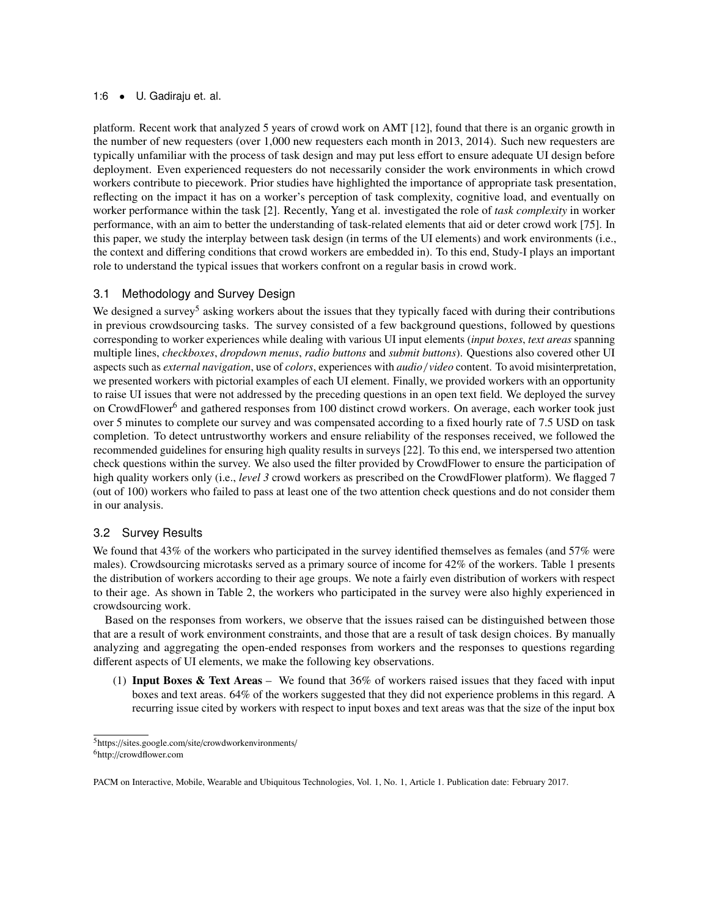### 1:6 • U. Gadiraju et. al.

<span id="page-6-0"></span>platform. Recent work that analyzed 5 years of crowd work on AMT [\[12\]](#page-24-1), found that there is an organic growth in the number of new requesters (over 1,000 new requesters each month in 2013, 2014). Such new requesters are typically unfamiliar with the process of task design and may put less effort to ensure adequate UI design before deployment. Even experienced requesters do not necessarily consider the work environments in which crowd workers contribute to piecework. Prior studies have highlighted the importance of appropriate task presentation, reflecting on the impact it has on a worker's perception of task complexity, cognitive load, and eventually on worker performance within the task [\[2\]](#page-24-14). Recently, Yang et al. investigated the role of *task complexity* in worker performance, with an aim to better the understanding of task-related elements that aid or deter crowd work [\[75\]](#page-26-18). In this paper, we study the interplay between task design (in terms of the UI elements) and work environments (i.e., the context and differing conditions that crowd workers are embedded in). To this end, Study-I plays an important role to understand the typical issues that workers confront on a regular basis in crowd work.

# 3.1 Methodology and Survey Design

We designed a survey<sup>[5](#page-5-0)</sup> asking workers about the issues that they typically faced with during their contributions in previous crowdsourcing tasks. The survey consisted of a few background questions, followed by questions corresponding to worker experiences while dealing with various UI input elements (*input boxes*, *text areas* spanning multiple lines, *checkboxes*, *dropdown menus*, *radio buttons* and *submit buttons*). Questions also covered other UI aspects such as *external navigation*, use of *colors*, experiences with *audio* / *video* content. To avoid misinterpretation, we presented workers with pictorial examples of each UI element. Finally, we provided workers with an opportunity to raise UI issues that were not addressed by the preceding questions in an open text field. We deployed the survey on CrowdFlower<sup>[6](#page-5-1)</sup> and gathered responses from 100 distinct crowd workers. On average, each worker took just over 5 minutes to complete our survey and was compensated according to a fixed hourly rate of 7.5 USD on task completion. To detect untrustworthy workers and ensure reliability of the responses received, we followed the recommended guidelines for ensuring high quality results in surveys [\[22\]](#page-24-15). To this end, we interspersed two attention check questions within the survey. We also used the filter provided by CrowdFlower to ensure the participation of high quality workers only (i.e., *level 3* crowd workers as prescribed on the CrowdFlower platform). We flagged 7 (out of 100) workers who failed to pass at least one of the two attention check questions and do not consider them in our analysis.

## 3.2 Survey Results

We found that 43% of the workers who participated in the survey identified themselves as females (and 57% were males). Crowdsourcing microtasks served as a primary source of income for 42% of the workers. Table [1](#page-6-0) presents the distribution of workers according to their age groups. We note a fairly even distribution of workers with respect to their age. As shown in Table [2,](#page-6-0) the workers who participated in the survey were also highly experienced in crowdsourcing work.

Based on the responses from workers, we observe that the issues raised can be distinguished between those that are a result of work environment constraints, and those that are a result of task design choices. By manually analyzing and aggregating the open-ended responses from workers and the responses to questions regarding different aspects of UI elements, we make the following key observations.

(1) Input Boxes & Text Areas – We found that  $36\%$  of workers raised issues that they faced with input boxes and text areas. 64% of the workers suggested that they did not experience problems in this regard. A recurring issue cited by workers with respect to input boxes and text areas was that the size of the input box

<sup>5</sup>https://sites.google.com/site/[crowdworkenvironments](https://sites.google.com/site/crowdworkenvironments/)/ <sup>6</sup>http://[crowdflower.com](http://crowdflower.com)

PACM on Interactive, Mobile, Wearable and Ubiquitous Technologies, Vol. 1, No. 1, Article 1. Publication date: February 2017.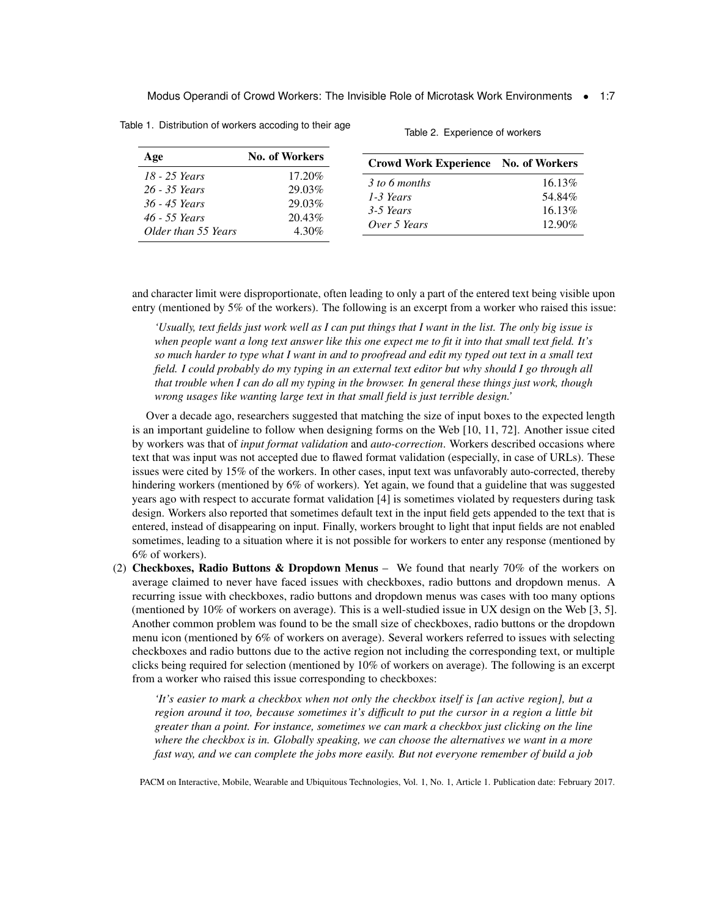|  | Table 1. Distribution of workers accoding to their age |  |
|--|--------------------------------------------------------|--|
|  |                                                        |  |

Table 2. Experience of workers

| Age                                                                                         | No. of Workers                                | Crowd Work Experience No. of Workers                    |                                            |
|---------------------------------------------------------------------------------------------|-----------------------------------------------|---------------------------------------------------------|--------------------------------------------|
| 18 - 25 Years<br>26 - 35 Years<br>$36 - 45$ Years<br>$46 - 55$ Years<br>Older than 55 Years | 17.20%<br>29.03%<br>29.03%<br>20.43%<br>4.30% | 3 to 6 months<br>1-3 Years<br>3-5 Years<br>Over 5 Years | $16.13\%$<br>54.84%<br>$16.13\%$<br>12.90% |

and character limit were disproportionate, often leading to only a part of the entered text being visible upon entry (mentioned by 5% of the workers). The following is an excerpt from a worker who raised this issue:

*'Usually, text fields just work well as I can put things that I want in the list. The only big issue is when people want a long text answer like this one expect me to fit it into that small text field. It's so much harder to type what I want in and to proofread and edit my typed out text in a small text field. I could probably do my typing in an external text editor but why should I go through all that trouble when I can do all my typing in the browser. In general these things just work, though wrong usages like wanting large text in that small field is just terrible design.'*

Over a decade ago, researchers suggested that matching the size of input boxes to the expected length is an important guideline to follow when designing forms on the Web [\[10,](#page-24-16) [11,](#page-24-17) [72\]](#page-26-19). Another issue cited by workers was that of *input format validation* and *auto-correction*. Workers described occasions where text that was input was not accepted due to flawed format validation (especially, in case of URLs). These issues were cited by 15% of the workers. In other cases, input text was unfavorably auto-corrected, thereby hindering workers (mentioned by 6% of workers). Yet again, we found that a guideline that was suggested years ago with respect to accurate format validation [\[4\]](#page-24-18) is sometimes violated by requesters during task design. Workers also reported that sometimes default text in the input field gets appended to the text that is entered, instead of disappearing on input. Finally, workers brought to light that input fields are not enabled sometimes, leading to a situation where it is not possible for workers to enter any response (mentioned by 6% of workers).

(2) Checkboxes, Radio Buttons & Dropdown Menus – We found that nearly  $70\%$  of the workers on average claimed to never have faced issues with checkboxes, radio buttons and dropdown menus. A recurring issue with checkboxes, radio buttons and dropdown menus was cases with too many options (mentioned by 10% of workers on average). This is a well-studied issue in UX design on the Web [\[3,](#page-24-19) [5\]](#page-24-20). Another common problem was found to be the small size of checkboxes, radio buttons or the dropdown menu icon (mentioned by 6% of workers on average). Several workers referred to issues with selecting checkboxes and radio buttons due to the active region not including the corresponding text, or multiple clicks being required for selection (mentioned by 10% of workers on average). The following is an excerpt from a worker who raised this issue corresponding to checkboxes:

*'It's easier to mark a checkbox when not only the checkbox itself is [an active region], but a region around it too, because sometimes it's di*ffi*cult to put the cursor in a region a little bit greater than a point. For instance, sometimes we can mark a checkbox just clicking on the line where the checkbox is in. Globally speaking, we can choose the alternatives we want in a more fast way, and we can complete the jobs more easily. But not everyone remember of build a job*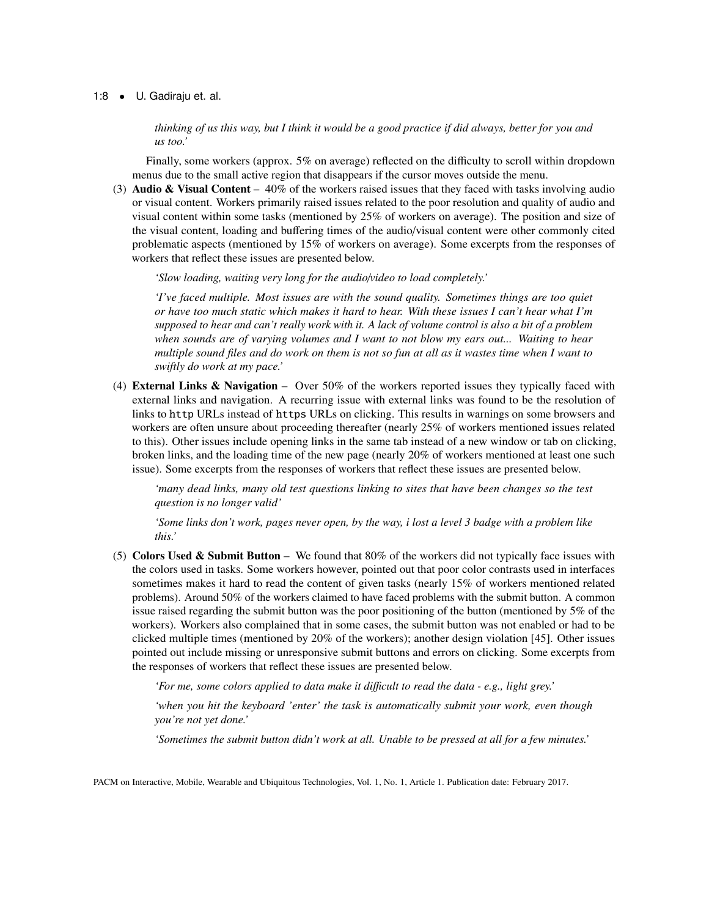### 1:8 • U. Gadiraju et. al.

*thinking of us this way, but I think it would be a good practice if did always, better for you and us too.'*

Finally, some workers (approx. 5% on average) reflected on the difficulty to scroll within dropdown menus due to the small active region that disappears if the cursor moves outside the menu.

(3) Audio & Visual Content – 40% of the workers raised issues that they faced with tasks involving audio or visual content. Workers primarily raised issues related to the poor resolution and quality of audio and visual content within some tasks (mentioned by 25% of workers on average). The position and size of the visual content, loading and buffering times of the audio/visual content were other commonly cited problematic aspects (mentioned by 15% of workers on average). Some excerpts from the responses of workers that reflect these issues are presented below.

*'Slow loading, waiting very long for the audio*/*video to load completely.'*

*'I've faced multiple. Most issues are with the sound quality. Sometimes things are too quiet or have too much static which makes it hard to hear. With these issues I can't hear what I'm supposed to hear and can't really work with it. A lack of volume control is also a bit of a problem when sounds are of varying volumes and I want to not blow my ears out... Waiting to hear multiple sound files and do work on them is not so fun at all as it wastes time when I want to swiftly do work at my pace.'*

(4) External Links & Navigation – Over 50% of the workers reported issues they typically faced with external links and navigation. A recurring issue with external links was found to be the resolution of links to http URLs instead of https URLs on clicking. This results in warnings on some browsers and workers are often unsure about proceeding thereafter (nearly 25% of workers mentioned issues related to this). Other issues include opening links in the same tab instead of a new window or tab on clicking, broken links, and the loading time of the new page (nearly 20% of workers mentioned at least one such issue). Some excerpts from the responses of workers that reflect these issues are presented below.

*'many dead links, many old test questions linking to sites that have been changes so the test question is no longer valid'*

*'Some links don't work, pages never open, by the way, i lost a level 3 badge with a problem like this.'*

(5) Colors Used & Submit Button – We found that  $80\%$  of the workers did not typically face issues with the colors used in tasks. Some workers however, pointed out that poor color contrasts used in interfaces sometimes makes it hard to read the content of given tasks (nearly 15% of workers mentioned related problems). Around 50% of the workers claimed to have faced problems with the submit button. A common issue raised regarding the submit button was the poor positioning of the button (mentioned by 5% of the workers). Workers also complained that in some cases, the submit button was not enabled or had to be clicked multiple times (mentioned by 20% of the workers); another design violation [\[45\]](#page-25-24). Other issues pointed out include missing or unresponsive submit buttons and errors on clicking. Some excerpts from the responses of workers that reflect these issues are presented below.

*'For me, some colors applied to data make it di*ffi*cult to read the data - e.g., light grey.'*

*'when you hit the keyboard 'enter' the task is automatically submit your work, even though you're not yet done.'*

<span id="page-8-0"></span>*'Sometimes the submit button didn't work at all. Unable to be pressed at all for a few minutes.'*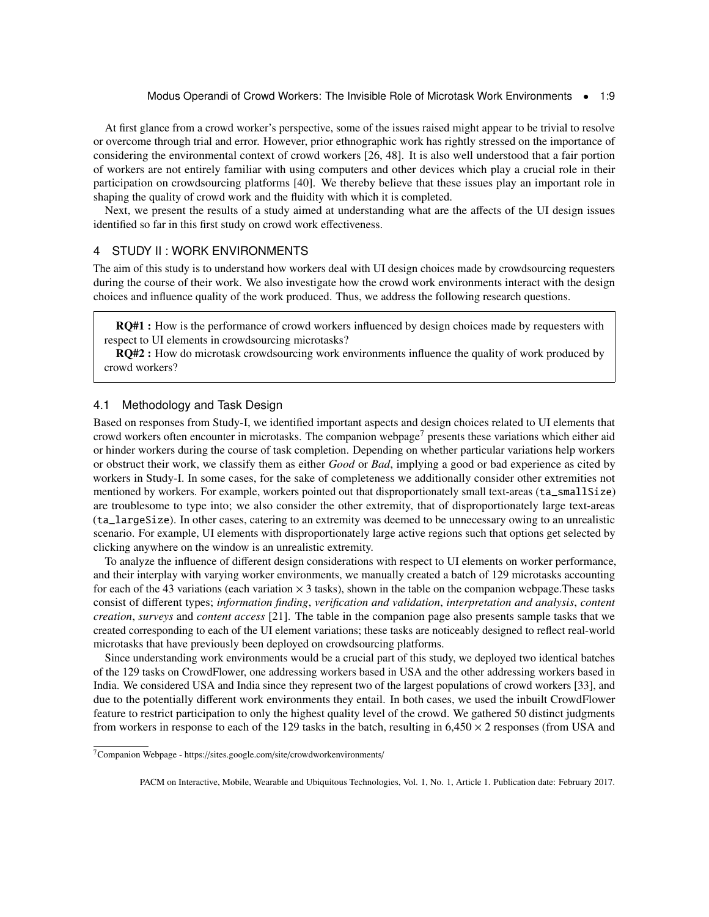At first glance from a crowd worker's perspective, some of the issues raised might appear to be trivial to resolve or overcome through trial and error. However, prior ethnographic work has rightly stressed on the importance of considering the environmental context of crowd workers [\[26,](#page-25-8) [48\]](#page-25-9). It is also well understood that a fair portion of workers are not entirely familiar with using computers and other devices which play a crucial role in their participation on crowdsourcing platforms [\[40\]](#page-25-18). We thereby believe that these issues play an important role in shaping the quality of crowd work and the fluidity with which it is completed.

Next, we present the results of a study aimed at understanding what are the affects of the UI design issues identified so far in this first study on crowd work effectiveness.

## 4 STUDY II : WORK ENVIRONMENTS

The aim of this study is to understand how workers deal with UI design choices made by crowdsourcing requesters during the course of their work. We also investigate how the crowd work environments interact with the design choices and influence quality of the work produced. Thus, we address the following research questions.

RQ#1 : How is the performance of crowd workers influenced by design choices made by requesters with respect to UI elements in crowdsourcing microtasks?

RQ#2 : How do microtask crowdsourcing work environments influence the quality of work produced by crowd workers?

## 4.1 Methodology and Task Design

<span id="page-9-0"></span>Based on responses from Study-I, we identified important aspects and design choices related to UI elements that crowd workers often encounter in microtasks. The companion webpage' presents these variations which either aid or hinder workers during the course of task completion. Depending on whether particular variations help workers or obstruct their work, we classify them as either *Good* or *Bad*, implying a good or bad experience as cited by workers in Study-I. In some cases, for the sake of completeness we additionally consider other extremities not mentioned by workers. For example, workers pointed out that disproportionately small text-areas (ta\_smallSize) are troublesome to type into; we also consider the other extremity, that of disproportionately large text-areas (ta\_largeSize). In other cases, catering to an extremity was deemed to be unnecessary owing to an unrealistic scenario. For example, UI elements with disproportionately large active regions such that options get selected by clicking anywhere on the window is an unrealistic extremity.

To analyze the influence of different design considerations with respect to UI elements on worker performance, and their interplay with varying worker environments, we manually created a batch of 129 microtasks accounting for each of the 43 variations (each variation  $\times$  3 tasks), shown in the table on the companion webpage. These tasks consist of different types; *information finding*, *verification and validation*, *interpretation and analysis*, *content creation*, *surveys* and *content access* [\[21\]](#page-24-9). The table in the companion page also presents sample tasks that we created corresponding to each of the UI element variations; these tasks are noticeably designed to reflect real-world microtasks that have previously been deployed on crowdsourcing platforms.

Since understanding work environments would be a crucial part of this study, we deployed two identical batches of the 129 tasks on CrowdFlower, one addressing workers based in USA and the other addressing workers based in India. We considered USA and India since they represent two of the largest populations of crowd workers [\[33\]](#page-25-3), and due to the potentially different work environments they entail. In both cases, we used the inbuilt CrowdFlower feature to restrict participation to only the highest quality level of the crowd. We gathered 50 distinct judgments from workers in response to each of the 129 tasks in the batch, resulting in  $6,450 \times 2$  responses (from USA and

<sup>7</sup>Companion Webpage - https://sites.google.com/site/[crowdworkenvironments]( https://sites.google.com/site/crowdworkenvironments/)/

PACM on Interactive, Mobile, Wearable and Ubiquitous Technologies, Vol. 1, No. 1, Article 1. Publication date: February 2017.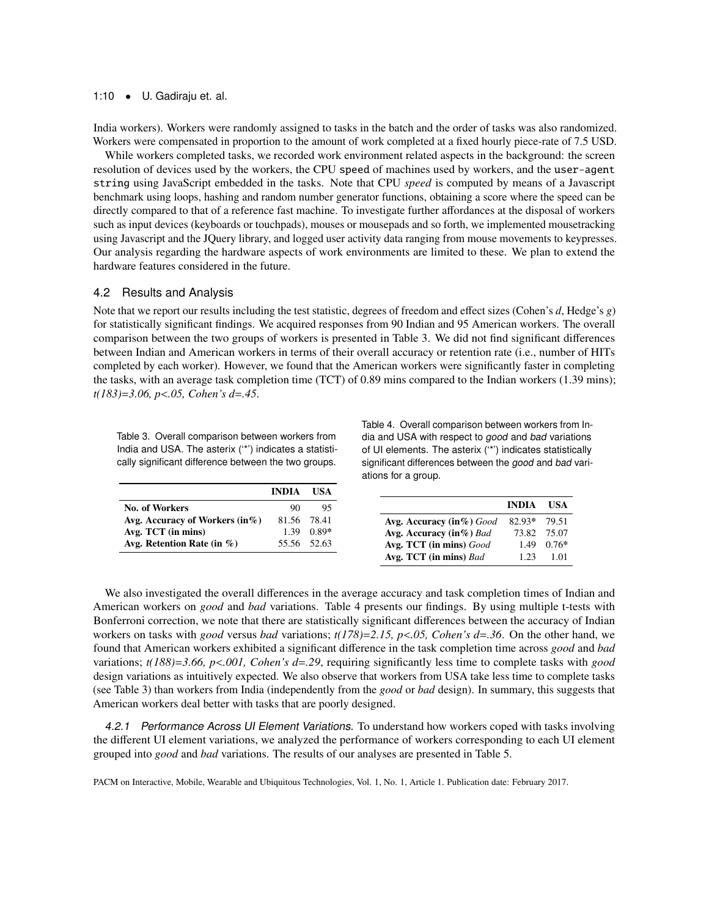#### 1:10 • U. Gadiraju et. al.

<span id="page-10-0"></span>India workers). Workers were randomly assigned to tasks in the batch and the order of tasks was also randomized. Workers were compensated in proportion to the amount of work completed at a fixed hourly piece-rate of 7.5 USD.

While workers completed tasks, we recorded work environment related aspects in the background: the screen resolution of devices used by the workers, the CPU speed of machines used by workers, and the user-agent string using JavaScript embedded in the tasks. Note that CPU *speed* is computed by means of a Javascript benchmark using loops, hashing and random number generator functions, obtaining a score where the speed can be directly compared to that of a reference fast machine. To investigate further affordances at the disposal of workers such as input devices (keyboards or touchpads), mouses or mousepads and so forth, we implemented mousetracking using Javascript and the JQuery library, and logged user activity data ranging from mouse movements to keypresses. Our analysis regarding the hardware aspects of work environments are limited to these. We plan to extend the hardware features considered in the future.

### 4.2 Results and Analysis

Note that we report our results including the test statistic, degrees of freedom and effect sizes (Cohen's *d*, Hedge's *g*) for statistically significant findings. We acquired responses from 90 Indian and 95 American workers. The overall comparison between the two groups of workers is presented in Table [3.](#page-9-0) We did not find significant differences between Indian and American workers in terms of their overall accuracy or retention rate (i.e., number of HITs completed by each worker). However, we found that the American workers were significantly faster in completing the tasks, with an average task completion time (TCT) of 0.89 mins compared to the Indian workers (1.39 mins); *t(183)*=*3.06, p*<*.05, Cohen's d*=*.45*.

Table 3. Overall comparison between workers from India and USA. The asterix ('\*') indicates a statistically significant difference between the two groups.

|                                   | <b>INDIA</b> USA |                |
|-----------------------------------|------------------|----------------|
| <b>No. of Workers</b>             | 90               | 95             |
| Avg. Accuracy of Workers $(in\%)$ | 81.56 78.41      |                |
| Avg. TCT (in mins)                |                  | $1.39$ $0.89*$ |
| Avg. Retention Rate (in $\%$ )    |                  | 55.56 52.63    |

Table 4. Overall comparison between workers from India and USA with respect to good and bad variations of UI elements. The asterix ('\*') indicates statistically significant differences between the good and bad variations for a group.

|                          | <b>INDIA</b> | USA     |
|--------------------------|--------------|---------|
| Avg. Accuracy (in%) Good | $82.93*$     | 79.51   |
| Avg. Accuracy (in%) Bad  | 73.82 75.07  |         |
| Avg. TCT (in mins) Good  | 1.49         | $0.76*$ |
| Avg. TCT (in mins) Bad   | 1.23         | 1.01    |

We also investigated the overall differences in the average accuracy and task completion times of Indian and American workers on *good* and *bad* variations. Table [4](#page-9-0) presents our findings. By using multiple t-tests with Bonferroni correction, we note that there are statistically significant differences between the accuracy of Indian workers on tasks with *good* versus *bad* variations; *t(178)*=*2.15, p*<*.05, Cohen's d*=*.36*. On the other hand, we found that American workers exhibited a significant difference in the task completion time across *good* and *bad* variations; *t(188)*=*3.66, p*<*.001, Cohen's d*=*.29*, requiring significantly less time to complete tasks with *good* design variations as intuitively expected. We also observe that workers from USA take less time to complete tasks (see Table [3\)](#page-9-0) than workers from India (independently from the *good* or *bad* design). In summary, this suggests that American workers deal better with tasks that are poorly designed.

4.2.1 Performance Across UI Element Variations. To understand how workers coped with tasks involving the different UI element variations, we analyzed the performance of workers corresponding to each UI element grouped into *good* and *bad* variations. The results of our analyses are presented in Table [5.](#page-12-0)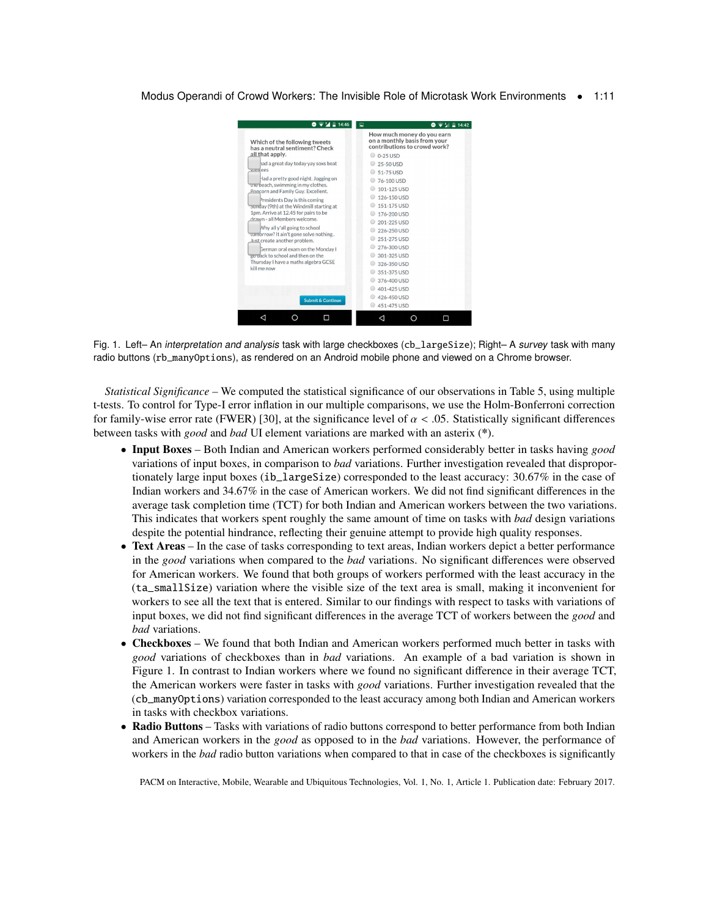

Fig. 1. Left- An interpretation and analysis task with large checkboxes (cb\_largeSize); Right-A survey task with many radio buttons (rb\_manyOptions), as rendered on an Android mobile phone and viewed on a Chrome browser.

*Statistical Significance –* We computed the statistical significance of our observations in Table [5,](#page-12-0) using multiple t-tests. To control for Type-I error inflation in our multiple comparisons, we use the Holm-Bonferroni correction for family-wise error rate (FWER) [\[30\]](#page-25-25), at the significance level of  $\alpha < .05$ . Statistically significant differences between tasks with *good* and *bad* UI element variations are marked with an asterix (\*).

- Input Boxes Both Indian and American workers performed considerably better in tasks having *good* variations of input boxes, in comparison to *bad* variations. Further investigation revealed that disproportionately large input boxes (ib\_largeSize) corresponded to the least accuracy: 30.67% in the case of Indian workers and 34.67% in the case of American workers. We did not find significant differences in the average task completion time (TCT) for both Indian and American workers between the two variations. This indicates that workers spent roughly the same amount of time on tasks with *bad* design variations despite the potential hindrance, reflecting their genuine attempt to provide high quality responses.
- Text Areas In the case of tasks corresponding to text areas, Indian workers depict a better performance in the *good* variations when compared to the *bad* variations. No significant differences were observed for American workers. We found that both groups of workers performed with the least accuracy in the (ta\_smallSize) variation where the visible size of the text area is small, making it inconvenient for workers to see all the text that is entered. Similar to our findings with respect to tasks with variations of input boxes, we did not find significant differences in the average TCT of workers between the *good* and *bad* variations.
- Checkboxes We found that both Indian and American workers performed much better in tasks with *good* variations of checkboxes than in *bad* variations. An example of a bad variation is shown in Figure [1.](#page-10-0) In contrast to Indian workers where we found no significant difference in their average TCT, the American workers were faster in tasks with *good* variations. Further investigation revealed that the (cb\_manyOptions) variation corresponded to the least accuracy among both Indian and American workers in tasks with checkbox variations.
- Radio Buttons Tasks with variations of radio buttons correspond to better performance from both Indian and American workers in the *good* as opposed to in the *bad* variations. However, the performance of workers in the *bad* radio button variations when compared to that in case of the checkboxes is significantly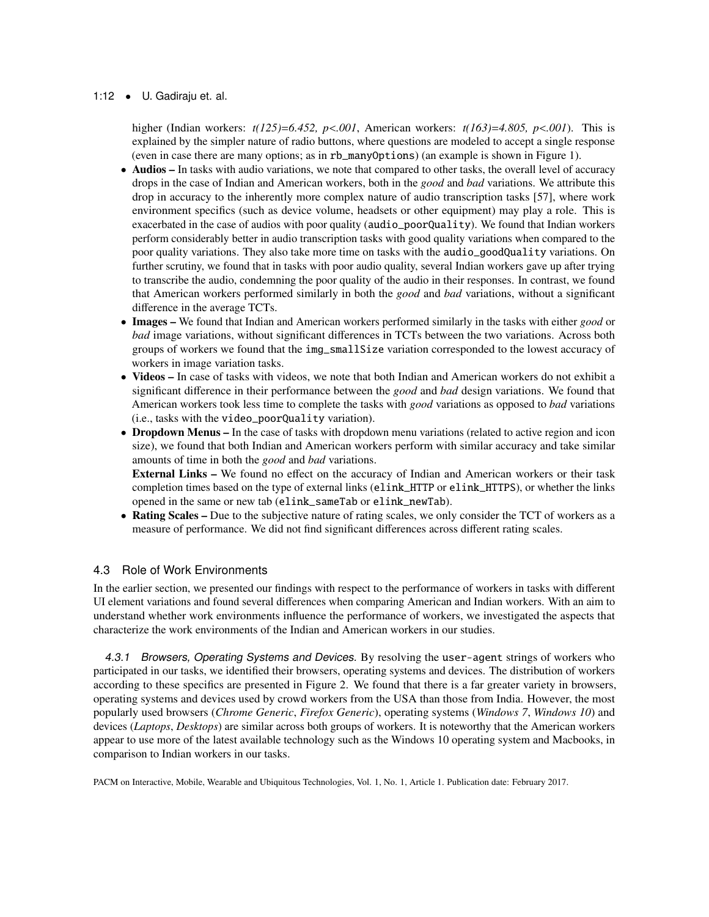# <span id="page-12-0"></span>1:12 • U. Gadiraju et. al.

higher (Indian workers: *t(125)*=*6.452, p*<*.001*, American workers: *t(163)*=*4.805, p*<*.001*). This is explained by the simpler nature of radio buttons, where questions are modeled to accept a single response (even in case there are many options; as in rb\_manyOptions) (an example is shown in Figure [1\)](#page-10-0).

- Audios In tasks with audio variations, we note that compared to other tasks, the overall level of accuracy drops in the case of Indian and American workers, both in the *good* and *bad* variations. We attribute this drop in accuracy to the inherently more complex nature of audio transcription tasks [\[57\]](#page-26-20), where work environment specifics (such as device volume, headsets or other equipment) may play a role. This is exacerbated in the case of audios with poor quality (audio\_poorQuality). We found that Indian workers perform considerably better in audio transcription tasks with good quality variations when compared to the poor quality variations. They also take more time on tasks with the audio\_goodQuality variations. On further scrutiny, we found that in tasks with poor audio quality, several Indian workers gave up after trying to transcribe the audio, condemning the poor quality of the audio in their responses. In contrast, we found that American workers performed similarly in both the *good* and *bad* variations, without a significant difference in the average TCTs.
- Images We found that Indian and American workers performed similarly in the tasks with either *good* or *bad* image variations, without significant differences in TCTs between the two variations. Across both groups of workers we found that the img\_smallSize variation corresponded to the lowest accuracy of workers in image variation tasks.
- Videos In case of tasks with videos, we note that both Indian and American workers do not exhibit a significant difference in their performance between the *good* and *bad* design variations. We found that American workers took less time to complete the tasks with *good* variations as opposed to *bad* variations (i.e., tasks with the video\_poorQuality variation).
- Dropdown Menus In the case of tasks with dropdown menu variations (related to active region and icon size), we found that both Indian and American workers perform with similar accuracy and take similar amounts of time in both the *good* and *bad* variations.

<span id="page-12-1"></span>External Links – We found no effect on the accuracy of Indian and American workers or their task completion times based on the type of external links (elink\_HTTP or elink\_HTTPS), or whether the links opened in the same or new tab (elink\_sameTab or elink\_newTab).

**Rating Scales – Due to the subjective nature of rating scales, we only consider the TCT of workers as a** measure of performance. We did not find significant differences across different rating scales.

# 4.3 Role of Work Environments

In the earlier section, we presented our findings with respect to the performance of workers in tasks with different UI element variations and found several differences when comparing American and Indian workers. With an aim to understand whether work environments influence the performance of workers, we investigated the aspects that characterize the work environments of the Indian and American workers in our studies.

4.3.1 Browsers, Operating Systems and Devices. By resolving the user-agent strings of workers who participated in our tasks, we identified their browsers, operating systems and devices. The distribution of workers according to these specifics are presented in Figure [2.](#page-12-1) We found that there is a far greater variety in browsers, operating systems and devices used by crowd workers from the USA than those from India. However, the most popularly used browsers (*Chrome Generic*, *Firefox Generic*), operating systems (*Windows 7*, *Windows 10*) and devices (*Laptops*, *Desktops*) are similar across both groups of workers. It is noteworthy that the American workers appear to use more of the latest available technology such as the Windows 10 operating system and Macbooks, in comparison to Indian workers in our tasks.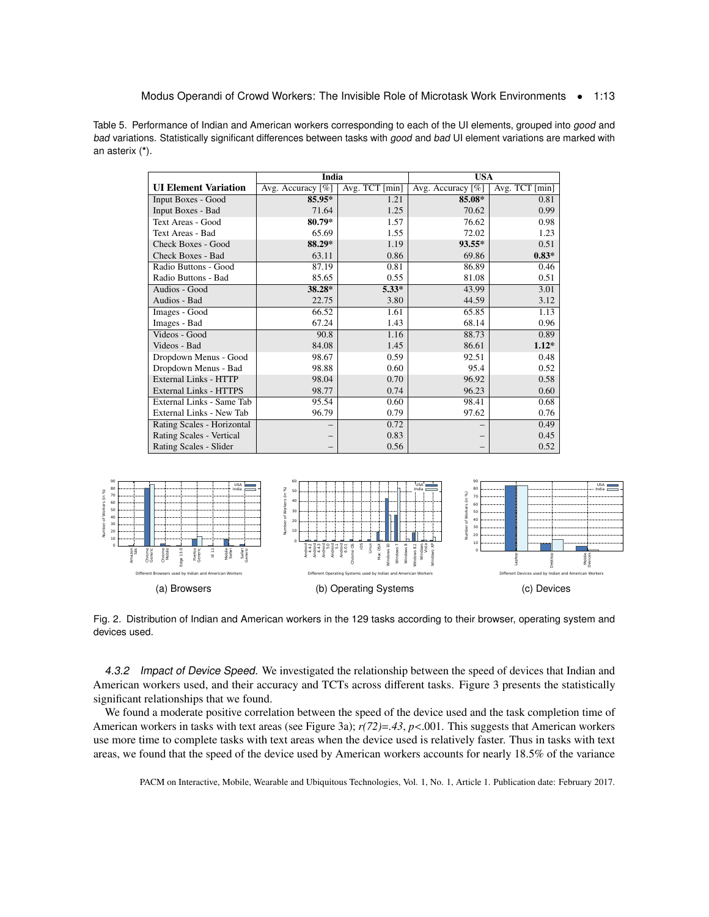<span id="page-13-0"></span>Table 5. Performance of Indian and American workers corresponding to each of the UI elements, grouped into good and bad variations. Statistically significant differences between tasks with good and bad UI element variations are marked with an asterix (**\***).

|                               | India                |                | <b>USA</b>           |                |  |
|-------------------------------|----------------------|----------------|----------------------|----------------|--|
| <b>UI Element Variation</b>   | Avg. Accuracy $[\%]$ | Avg. TCT [min] | Avg. Accuracy $[\%]$ | Avg. TCT [min] |  |
| Input Boxes - Good            | 85.95*               | 1.21           | 85.08*               | 0.81           |  |
| Input Boxes - Bad             | 71.64                | 1.25           | 70.62                | 0.99           |  |
| Text Areas - Good             | 80.79*               | 1.57           | 76.62                | 0.98           |  |
| Text Areas - Bad              | 65.69                | 1.55           | 72.02                | 1.23           |  |
| <b>Check Boxes - Good</b>     | 88.29*               | 1.19           | $93.55*$             | 0.51           |  |
| Check Boxes - Bad             | 63.11                | 0.86           | 69.86                | $0.83*$        |  |
| Radio Buttons - Good          | 87.19                | 0.81           | 86.89                | 0.46           |  |
| Radio Buttons - Bad           | 85.65                | 0.55           | 81.08                | 0.51           |  |
| Audios - Good                 | 38.28*               | $5.33*$        | 43.99                | 3.01           |  |
| Audios - Bad                  | 22.75                | 3.80           | 44.59                | 3.12           |  |
| Images - Good                 | 66.52                | 1.61           | 65.85                | 1.13           |  |
| Images - Bad                  | 67.24                | 1.43           | 68.14                | 0.96           |  |
| Videos - Good                 | 90.8                 | 1.16           | 88.73                | 0.89           |  |
| Videos - Bad                  | 84.08                | 1.45           | 86.61                | $1.12*$        |  |
| Dropdown Menus - Good         | 98.67                | 0.59           | 92.51                | 0.48           |  |
| Dropdown Menus - Bad          | 98.88                | 0.60           | 95.4                 | 0.52           |  |
| <b>External Links - HTTP</b>  | 98.04                | 0.70           | 96.92                | 0.58           |  |
| <b>External Links - HTTPS</b> | 98.77                | 0.74           | 96.23                | 0.60           |  |
| External Links - Same Tab     | 95.54                | 0.60           | 98.41                | 0.68           |  |
| External Links - New Tab      | 96.79                | 0.79           | 97.62                | 0.76           |  |
| Rating Scales - Horizontal    |                      | 0.72           |                      | 0.49           |  |
| Rating Scales - Vertical      |                      | 0.83           |                      | 0.45           |  |
| Rating Scales - Slider        |                      | 0.56           |                      | 0.52           |  |





4.3.2 Impact of Device Speed. We investigated the relationship between the speed of devices that Indian and American workers used, and their accuracy and TCTs across different tasks. Figure [3](#page-13-0) presents the statistically significant relationships that we found.

We found a moderate positive correlation between the speed of the device used and the task completion time of American workers in tasks with text areas (see Figure [3a\)](#page-13-0); *r(72)*=*.43*, *p*<.001. This suggests that American workers use more time to complete tasks with text areas when the device used is relatively faster. Thus in tasks with text areas, we found that the speed of the device used by American workers accounts for nearly 18.5% of the variance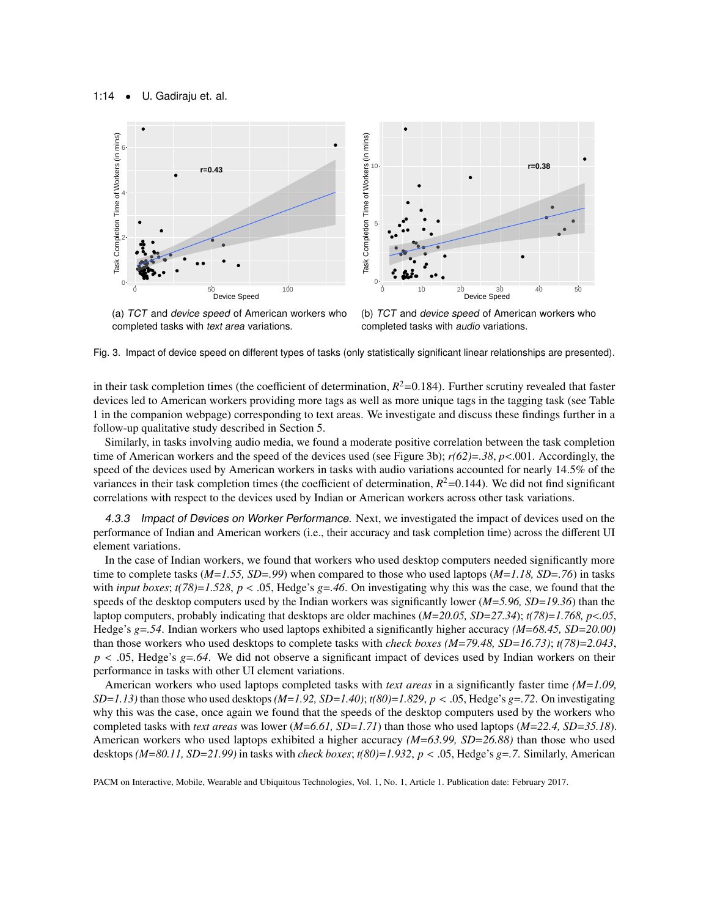



<span id="page-14-0"></span>(a) TCT and device speed of American workers who completed tasks with text area variations.

(b) TCT and device speed of American workers who completed tasks with audio variations.

Fig. 3. Impact of device speed on different types of tasks (only statistically significant linear relationships are presented).

in their task completion times (the coefficient of determination,  $R^2$ =0.184). Further scrutiny revealed that faster devices led to American workers providing more tags as well as more unique tags in the tagging task (see Table 1 in the companion webpage) corresponding to text areas. We investigate and discuss these findings further in a follow-up qualitative study described in Section [5.](#page-15-1)

Similarly, in tasks involving audio media, we found a moderate positive correlation between the task completion time of American workers and the speed of the devices used (see Figure [3b\)](#page-13-0); *r(62)*=*.38*, *p*<.001. Accordingly, the speed of the devices used by American workers in tasks with audio variations accounted for nearly 14.5% of the variances in their task completion times (the coefficient of determination,  $R^2$ =0.144). We did not find significant correlations with respect to the devices used by Indian or American workers across other task variations.

4.3.3 Impact of Devices on Worker Performance. Next, we investigated the impact of devices used on the performance of Indian and American workers (i.e., their accuracy and task completion time) across the different UI element variations.

In the case of Indian workers, we found that workers who used desktop computers needed significantly more time to complete tasks (*M*=*1.55, SD*=*.99*) when compared to those who used laptops (*M*=*1.18, SD*=*.76*) in tasks with *input boxes*;  $t(78)=1.528$ ,  $p < .05$ , Hedge's  $g=46$ . On investigating why this was the case, we found that the speeds of the desktop computers used by the Indian workers was significantly lower (*M*=*5.96, SD*=*19.36*) than the laptop computers, probably indicating that desktops are older machines (*M*=*20.05, SD*=*27.34*); *t(78)*=*1.768, p*<*.05*, Hedge's *g*=*.54*. Indian workers who used laptops exhibited a significantly higher accuracy *(M*=*68.45, SD*=*20.00)* than those workers who used desktops to complete tasks with *check boxes (M*=*79.48, SD*=*16.73)*; *t(78)*=*2.043*, *p* < .05, Hedge's *g*=*.64*. We did not observe a significant impact of devices used by Indian workers on their performance in tasks with other UI element variations.

American workers who used laptops completed tasks with *text areas* in a significantly faster time *(M*=*1.09, SD*=*1.13)* than those who used desktops *(M*=*1.92, SD*=*1.40)*; *t(80)*=*1.829*, *p* < .05, Hedge's *g*=*.72*. On investigating why this was the case, once again we found that the speeds of the desktop computers used by the workers who completed tasks with *text areas* was lower (*M*=*6.61, SD*=*1.71*) than those who used laptops (*M*=*22.4, SD*=*35.18*). American workers who used laptops exhibited a higher accuracy *(M*=*63.99, SD*=*26.88)* than those who used desktops *(M*=*80.11, SD*=*21.99)* in tasks with *check boxes*; *t(80)*=*1.932*, *p* < .05, Hedge's *g*=*.7*. Similarly, American

1:14 • U. Gadiraju et. al.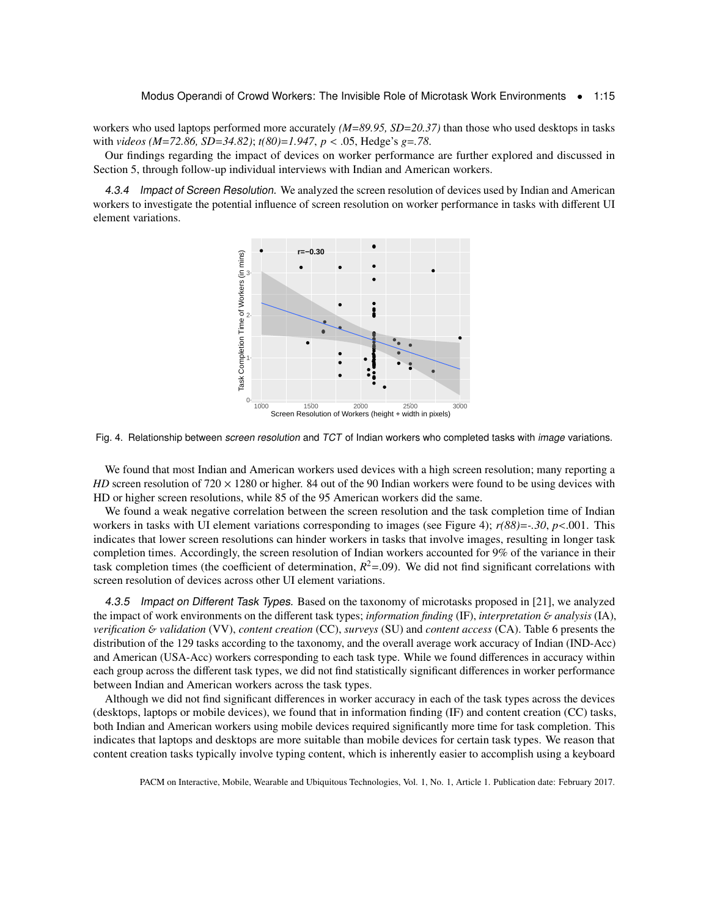<span id="page-15-0"></span>workers who used laptops performed more accurately *(M*=*89.95, SD*=*20.37)* than those who used desktops in tasks with *videos (M*=*72.86, SD*=*34.82)*; *t(80)*=*1.947*, *p* < .05, Hedge's *g*=*.78*.

Our findings regarding the impact of devices on worker performance are further explored and discussed in Section [5,](#page-15-1) through follow-up individual interviews with Indian and American workers.

4.3.4 Impact of Screen Resolution. We analyzed the screen resolution of devices used by Indian and American workers to investigate the potential influence of screen resolution on worker performance in tasks with different UI element variations.



<span id="page-15-1"></span>

We found that most Indian and American workers used devices with a high screen resolution; many reporting a *HD* screen resolution of  $720 \times 1280$  or higher. 84 out of the 90 Indian workers were found to be using devices with HD or higher screen resolutions, while 85 of the 95 American workers did the same.

We found a weak negative correlation between the screen resolution and the task completion time of Indian workers in tasks with UI element variations corresponding to images (see Figure [4\)](#page-14-0); *r(88)*=*-.30*, *p*<.001. This indicates that lower screen resolutions can hinder workers in tasks that involve images, resulting in longer task completion times. Accordingly, the screen resolution of Indian workers accounted for 9% of the variance in their task completion times (the coefficient of determination,  $R^2 = .09$ ). We did not find significant correlations with screen resolution of devices across other UI element variations.

4.3.5 Impact on Different Task Types. Based on the taxonomy of microtasks proposed in [\[21\]](#page-24-9), we analyzed the impact of work environments on the different task types; *information finding* (IF), *interpretation* & *analysis* (IA), *verification* & *validation* (VV), *content creation* (CC), *surveys* (SU) and *content access* (CA). Table [6](#page-15-0) presents the distribution of the 129 tasks according to the taxonomy, and the overall average work accuracy of Indian (IND-Acc) and American (USA-Acc) workers corresponding to each task type. While we found differences in accuracy within each group across the different task types, we did not find statistically significant differences in worker performance between Indian and American workers across the task types.

<span id="page-15-2"></span>Although we did not find significant differences in worker accuracy in each of the task types across the devices (desktops, laptops or mobile devices), we found that in information finding (IF) and content creation (CC) tasks, both Indian and American workers using mobile devices required significantly more time for task completion. This indicates that laptops and desktops are more suitable than mobile devices for certain task types. We reason that content creation tasks typically involve typing content, which is inherently easier to accomplish using a keyboard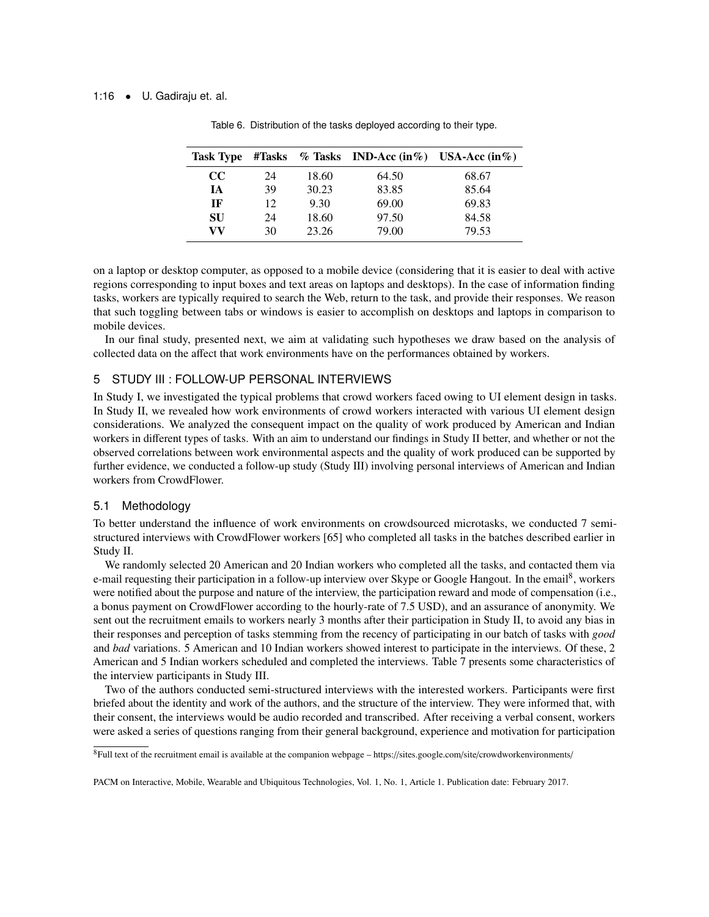<span id="page-16-0"></span>

| <b>Task Type</b> |    |       | #Tasks % Tasks IND-Acc $(in\%)$ USA-Acc $(in\%)$ |       |
|------------------|----|-------|--------------------------------------------------|-------|
| cc               | 24 | 18.60 | 64.50                                            | 68.67 |
| <b>IA</b>        | 39 | 30.23 | 83.85                                            | 85.64 |
| TF               | 12 | 9.30  | 69.00                                            | 69.83 |
| SU               | 24 | 18.60 | 97.50                                            | 84.58 |
| VV               | 30 | 23.26 | 79.00                                            | 79.53 |

Table 6. Distribution of the tasks deployed according to their type.

on a laptop or desktop computer, as opposed to a mobile device (considering that it is easier to deal with active regions corresponding to input boxes and text areas on laptops and desktops). In the case of information finding tasks, workers are typically required to search the Web, return to the task, and provide their responses. We reason that such toggling between tabs or windows is easier to accomplish on desktops and laptops in comparison to mobile devices.

In our final study, presented next, we aim at validating such hypotheses we draw based on the analysis of collected data on the affect that work environments have on the performances obtained by workers.

# 5 STUDY III : FOLLOW-UP PERSONAL INTERVIEWS

In Study I, we investigated the typical problems that crowd workers faced owing to UI element design in tasks. In Study II, we revealed how work environments of crowd workers interacted with various UI element design considerations. We analyzed the consequent impact on the quality of work produced by American and Indian workers in different types of tasks. With an aim to understand our findings in Study II better, and whether or not the observed correlations between work environmental aspects and the quality of work produced can be supported by further evidence, we conducted a follow-up study (Study III) involving personal interviews of American and Indian workers from CrowdFlower.

## 5.1 Methodology

To better understand the influence of work environments on crowdsourced microtasks, we conducted 7 semistructured interviews with CrowdFlower workers [\[65\]](#page-26-21) who completed all tasks in the batches described earlier in Study II.

We randomly selected 20 American and 20 Indian workers who completed all the tasks, and contacted them via e-mail requesting their participation in a follow-up interview over Skype or Google Hangout. In the email<sup>[8](#page-15-2)</sup>, workers were notified about the purpose and nature of the interview, the participation reward and mode of compensation (i.e., a bonus payment on CrowdFlower according to the hourly-rate of 7.5 USD), and an assurance of anonymity. We sent out the recruitment emails to workers nearly 3 months after their participation in Study II, to avoid any bias in their responses and perception of tasks stemming from the recency of participating in our batch of tasks with *good* and *bad* variations. 5 American and 10 Indian workers showed interest to participate in the interviews. Of these, 2 American and 5 Indian workers scheduled and completed the interviews. Table [7](#page-16-0) presents some characteristics of the interview participants in Study III.

Two of the authors conducted semi-structured interviews with the interested workers. Participants were first briefed about the identity and work of the authors, and the structure of the interview. They were informed that, with their consent, the interviews would be audio recorded and transcribed. After receiving a verbal consent, workers were asked a series of questions ranging from their general background, experience and motivation for participation

<sup>8</sup>Full text of the recruitment email is available at the companion webpage – https://sites.google.com/site/[crowdworkenvironments](https://sites.google.com/site/crowdworkenvironments/)/

PACM on Interactive, Mobile, Wearable and Ubiquitous Technologies, Vol. 1, No. 1, Article 1. Publication date: February 2017.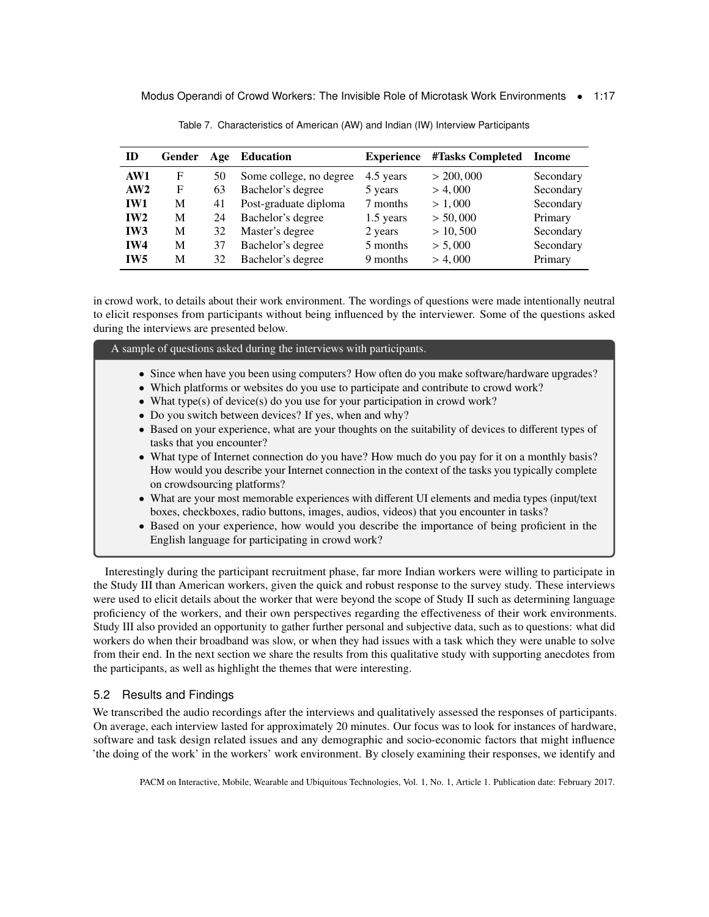| ID              | Gender | Age | Education               | <b>Experience</b> | #Tasks Completed | Income    |
|-----------------|--------|-----|-------------------------|-------------------|------------------|-----------|
| AW1             | F      | 50  | Some college, no degree | 4.5 years         | > 200,000        | Secondary |
| AW2             | F      | 63  | Bachelor's degree       | 5 years           | > 4.000          | Secondary |
| IW1             | M      | 41  | Post-graduate diploma   | 7 months          | > 1,000          | Secondary |
| IW <sub>2</sub> | M      | 24  | Bachelor's degree       | 1.5 years         | > 50,000         | Primary   |
| IW <sub>3</sub> | M      | 32  | Master's degree         | 2 years           | > 10,500         | Secondary |
| <b>IW4</b>      | М      | 37  | Bachelor's degree       | 5 months          | > 5,000          | Secondary |
| IW <sub>5</sub> | М      | 32  | Bachelor's degree       | 9 months          | > 4.000          | Primary   |

| Table 7. Characteristics of American (AW) and Indian (IW) Interview Participants |  |  |
|----------------------------------------------------------------------------------|--|--|
|                                                                                  |  |  |

in crowd work, to details about their work environment. The wordings of questions were made intentionally neutral to elicit responses from participants without being influenced by the interviewer. Some of the questions asked during the interviews are presented below.

A sample of questions asked during the interviews with participants. • Since when have you been using computers? How often do you make software/hardware upgrades? • Which platforms or websites do you use to participate and contribute to crowd work? • What type(s) of device(s) do you use for your participation in crowd work? • Do you switch between devices? If yes, when and why? • Based on your experience, what are your thoughts on the suitability of devices to different types of tasks that you encounter? • What type of Internet connection do you have? How much do you pay for it on a monthly basis? How would you describe your Internet connection in the context of the tasks you typically complete on crowdsourcing platforms? • What are your most memorable experiences with different UI elements and media types (input/text) boxes, checkboxes, radio buttons, images, audios, videos) that you encounter in tasks? • Based on your experience, how would you describe the importance of being proficient in the English language for participating in crowd work?

Interestingly during the participant recruitment phase, far more Indian workers were willing to participate in the Study III than American workers, given the quick and robust response to the survey study. These interviews were used to elicit details about the worker that were beyond the scope of Study II such as determining language proficiency of the workers, and their own perspectives regarding the effectiveness of their work environments. Study III also provided an opportunity to gather further personal and subjective data, such as to questions: what did workers do when their broadband was slow, or when they had issues with a task which they were unable to solve from their end. In the next section we share the results from this qualitative study with supporting anecdotes from the participants, as well as highlight the themes that were interesting.

# 5.2 Results and Findings

We transcribed the audio recordings after the interviews and qualitatively assessed the responses of participants. On average, each interview lasted for approximately 20 minutes. Our focus was to look for instances of hardware, software and task design related issues and any demographic and socio-economic factors that might influence 'the doing of the work' in the workers' work environment. By closely examining their responses, we identify and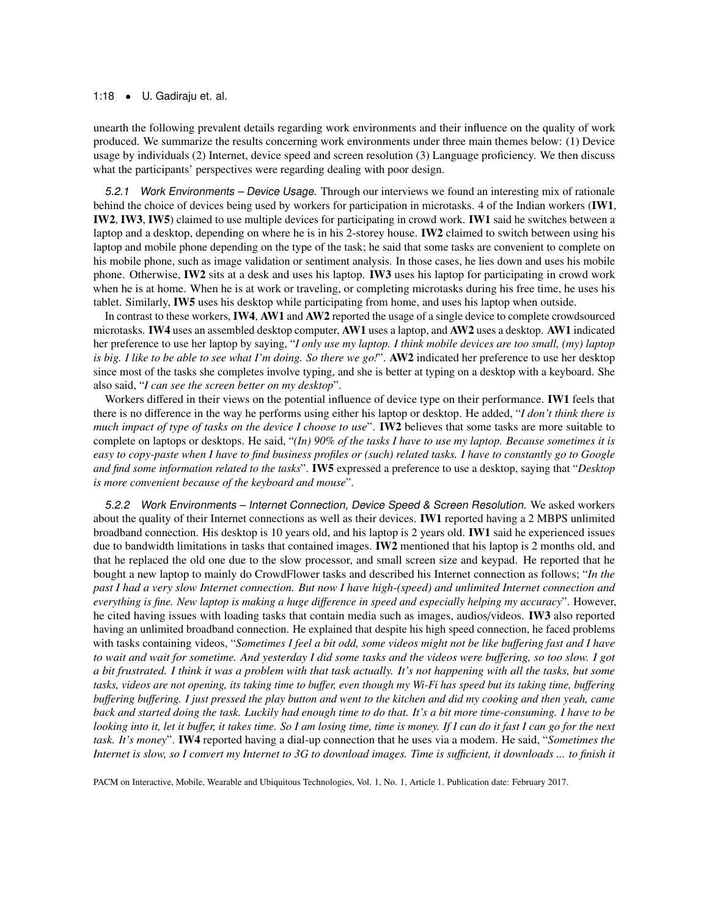#### 1:18 • U. Gadiraju et. al.

unearth the following prevalent details regarding work environments and their influence on the quality of work produced. We summarize the results concerning work environments under three main themes below: (1) Device usage by individuals (2) Internet, device speed and screen resolution (3) Language proficiency. We then discuss what the participants' perspectives were regarding dealing with poor design.

5.2.1 Work Environments – Device Usage. Through our interviews we found an interesting mix of rationale behind the choice of devices being used by workers for participation in microtasks. 4 of the Indian workers (IW1, IW2, IW3, IW5) claimed to use multiple devices for participating in crowd work. IW1 said he switches between a laptop and a desktop, depending on where he is in his 2-storey house. IW2 claimed to switch between using his laptop and mobile phone depending on the type of the task; he said that some tasks are convenient to complete on his mobile phone, such as image validation or sentiment analysis. In those cases, he lies down and uses his mobile phone. Otherwise, IW2 sits at a desk and uses his laptop. IW3 uses his laptop for participating in crowd work when he is at home. When he is at work or traveling, or completing microtasks during his free time, he uses his tablet. Similarly, IW5 uses his desktop while participating from home, and uses his laptop when outside.

In contrast to these workers, IW4, AW1 and AW2 reported the usage of a single device to complete crowdsourced microtasks. IW4 uses an assembled desktop computer, AW1 uses a laptop, and AW2 uses a desktop. AW1 indicated her preference to use her laptop by saying, "*I only use my laptop. I think mobile devices are too small, (my) laptop is big. I like to be able to see what I'm doing. So there we go!*". AW2 indicated her preference to use her desktop since most of the tasks she completes involve typing, and she is better at typing on a desktop with a keyboard. She also said, "*I can see the screen better on my desktop*".

Workers differed in their views on the potential influence of device type on their performance. IW1 feels that there is no difference in the way he performs using either his laptop or desktop. He added, "*I don't think there is much impact of type of tasks on the device I choose to use*". **IW2** believes that some tasks are more suitable to complete on laptops or desktops. He said, "*(In) 90% of the tasks I have to use my laptop. Because sometimes it is easy to copy-paste when I have to find business profiles or (such) related tasks. I have to constantly go to Google and find some information related to the tasks*". IW5 expressed a preference to use a desktop, saying that "*Desktop is more convenient because of the keyboard and mouse*".

5.2.2 Work Environments – Internet Connection, Device Speed & Screen Resolution. We asked workers about the quality of their Internet connections as well as their devices. IW1 reported having a 2 MBPS unlimited broadband connection. His desktop is 10 years old, and his laptop is 2 years old. IW1 said he experienced issues due to bandwidth limitations in tasks that contained images. **IW2** mentioned that his laptop is 2 months old, and that he replaced the old one due to the slow processor, and small screen size and keypad. He reported that he bought a new laptop to mainly do CrowdFlower tasks and described his Internet connection as follows; "*In the past I had a very slow Internet connection. But now I have high-(speed) and unlimited Internet connection and everything is fine. New laptop is making a huge di*ff*erence in speed and especially helping my accuracy*". However, he cited having issues with loading tasks that contain media such as images, audios/videos. IW3 also reported having an unlimited broadband connection. He explained that despite his high speed connection, he faced problems with tasks containing videos, "*Sometimes I feel a bit odd, some videos might not be like buffering fast and I have to wait and wait for sometime. And yesterday I did some tasks and the videos were bu*ff*ering, so too slow. I got a bit frustrated. I think it was a problem with that task actually. It's not happening with all the tasks, but some tasks, videos are not opening, its taking time to bu*ff*er, even though my Wi-Fi has speed but its taking time, bu*ff*ering bu*ff*ering bu*ff*ering. I just pressed the play button and went to the kitchen and did my cooking and then yeah, came back and started doing the task. Luckily had enough time to do that. It's a bit more time-consuming. I have to be looking into it, let it bu*ff*er, it takes time. So I am losing time, time is money. If I can do it fast I can go for the next task. It's money*". IW4 reported having a dial-up connection that he uses via a modem. He said, "*Sometimes the Internet is slow, so I convert my Internet to 3G to download images. Time is su*ffi*cient, it downloads ... to finish it*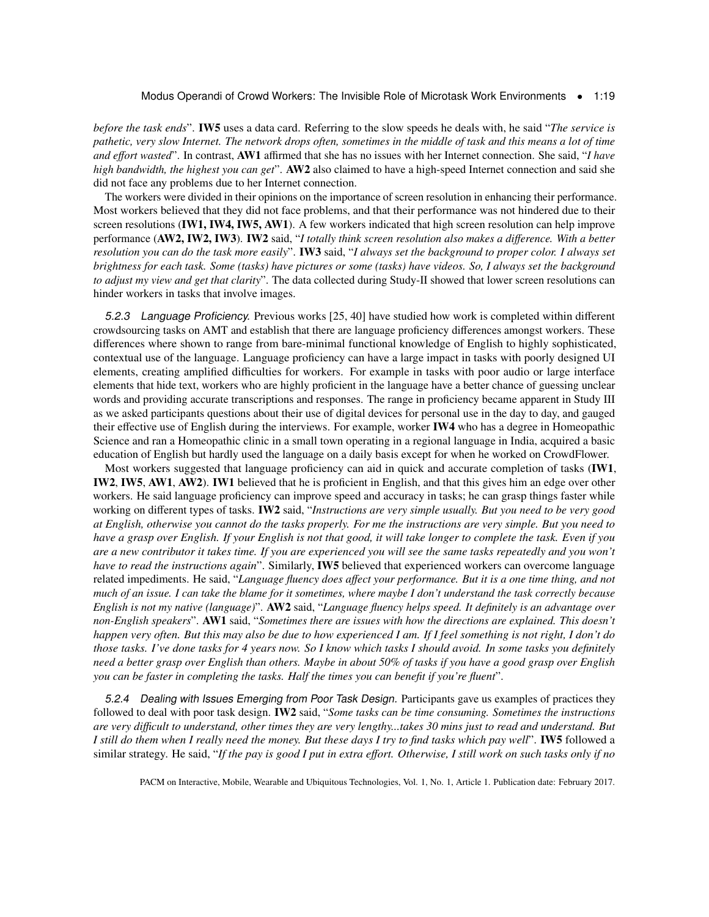*before the task ends*". IW5 uses a data card. Referring to the slow speeds he deals with, he said "*The service is pathetic, very slow Internet. The network drops often, sometimes in the middle of task and this means a lot of time and e*ff*ort wasted*". In contrast, AW1 affirmed that she has no issues with her Internet connection. She said, "*I have high bandwidth, the highest you can get*". AW2 also claimed to have a high-speed Internet connection and said she did not face any problems due to her Internet connection.

The workers were divided in their opinions on the importance of screen resolution in enhancing their performance. Most workers believed that they did not face problems, and that their performance was not hindered due to their screen resolutions (IW1, IW4, IW5, AW1). A few workers indicated that high screen resolution can help improve performance (AW2, IW2, IW3). IW2 said, "*I totally think screen resolution also makes a di*ff*erence. With a better resolution you can do the task more easily*". IW3 said, "*I always set the background to proper color. I always set brightness for each task. Some (tasks) have pictures or some (tasks) have videos. So, I always set the background to adjust my view and get that clarity*". The data collected during Study-II showed that lower screen resolutions can hinder workers in tasks that involve images.

5.2.3 Language Proficiency. Previous works [\[25,](#page-25-26) [40\]](#page-25-18) have studied how work is completed within different crowdsourcing tasks on AMT and establish that there are language proficiency differences amongst workers. These differences where shown to range from bare-minimal functional knowledge of English to highly sophisticated, contextual use of the language. Language proficiency can have a large impact in tasks with poorly designed UI elements, creating amplified difficulties for workers. For example in tasks with poor audio or large interface elements that hide text, workers who are highly proficient in the language have a better chance of guessing unclear words and providing accurate transcriptions and responses. The range in proficiency became apparent in Study III as we asked participants questions about their use of digital devices for personal use in the day to day, and gauged their effective use of English during the interviews. For example, worker IW4 who has a degree in Homeopathic Science and ran a Homeopathic clinic in a small town operating in a regional language in India, acquired a basic education of English but hardly used the language on a daily basis except for when he worked on CrowdFlower.

Most workers suggested that language proficiency can aid in quick and accurate completion of tasks (IW1, IW2, IW5, AW1, AW2). IW1 believed that he is proficient in English, and that this gives him an edge over other workers. He said language proficiency can improve speed and accuracy in tasks; he can grasp things faster while working on different types of tasks. IW2 said, "*Instructions are very simple usually. But you need to be very good at English, otherwise you cannot do the tasks properly. For me the instructions are very simple. But you need to have a grasp over English. If your English is not that good, it will take longer to complete the task. Even if you are a new contributor it takes time. If you are experienced you will see the same tasks repeatedly and you won't have to read the instructions again*". Similarly, IW5 believed that experienced workers can overcome language related impediments. He said, "*Language fluency does a*ff*ect your performance. But it is a one time thing, and not much of an issue. I can take the blame for it sometimes, where maybe I don't understand the task correctly because English is not my native (language)*". AW2 said, "*Language fluency helps speed. It definitely is an advantage over non-English speakers*". AW1 said, "*Sometimes there are issues with how the directions are explained. This doesn't happen very often. But this may also be due to how experienced I am. If I feel something is not right, I don't do those tasks. I've done tasks for 4 years now. So I know which tasks I should avoid. In some tasks you definitely need a better grasp over English than others. Maybe in about 50% of tasks if you have a good grasp over English you can be faster in completing the tasks. Half the times you can benefit if you're fluent*".

5.2.4 Dealing with Issues Emerging from Poor Task Design. Participants gave us examples of practices they followed to deal with poor task design. IW2 said, "*Some tasks can be time consuming. Sometimes the instructions are very di*ffi*cult to understand, other times they are very lengthy...takes 30 mins just to read and understand. But I still do them when I really need the money. But these days I try to find tasks which pay well*". IW5 followed a similar strategy. He said, "*If the pay is good I put in extra e*ff*ort. Otherwise, I still work on such tasks only if no*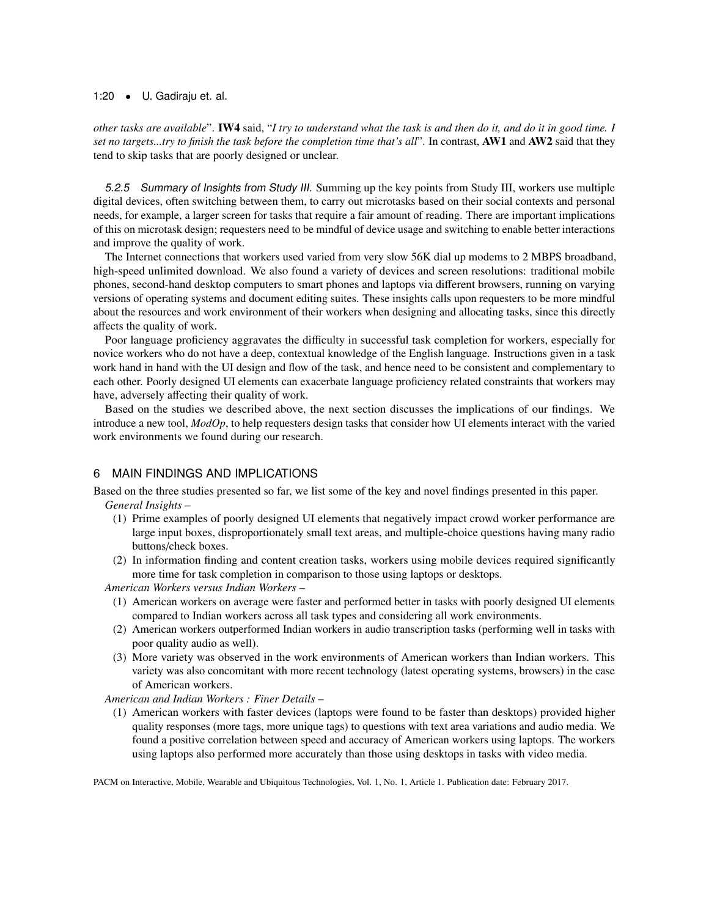### 1:20 • U. Gadiraju et. al.

*other tasks are available*". IW4 said, "*I try to understand what the task is and then do it, and do it in good time. I set no targets...try to finish the task before the completion time that's all*". In contrast, AW1 and AW2 said that they tend to skip tasks that are poorly designed or unclear.

5.2.5 Summary of Insights from Study III. Summing up the key points from Study III, workers use multiple digital devices, often switching between them, to carry out microtasks based on their social contexts and personal needs, for example, a larger screen for tasks that require a fair amount of reading. There are important implications of this on microtask design; requesters need to be mindful of device usage and switching to enable better interactions and improve the quality of work.

The Internet connections that workers used varied from very slow 56K dial up modems to 2 MBPS broadband, high-speed unlimited download. We also found a variety of devices and screen resolutions: traditional mobile phones, second-hand desktop computers to smart phones and laptops via different browsers, running on varying versions of operating systems and document editing suites. These insights calls upon requesters to be more mindful about the resources and work environment of their workers when designing and allocating tasks, since this directly affects the quality of work.

Poor language proficiency aggravates the difficulty in successful task completion for workers, especially for novice workers who do not have a deep, contextual knowledge of the English language. Instructions given in a task work hand in hand with the UI design and flow of the task, and hence need to be consistent and complementary to each other. Poorly designed UI elements can exacerbate language proficiency related constraints that workers may have, adversely affecting their quality of work.

Based on the studies we described above, the next section discusses the implications of our findings. We introduce a new tool, *ModOp*, to help requesters design tasks that consider how UI elements interact with the varied work environments we found during our research.

# 6 MAIN FINDINGS AND IMPLICATIONS

Based on the three studies presented so far, we list some of the key and novel findings presented in this paper. *General Insights* –

- (1) Prime examples of poorly designed UI elements that negatively impact crowd worker performance are large input boxes, disproportionately small text areas, and multiple-choice questions having many radio buttons/check boxes.
- (2) In information finding and content creation tasks, workers using mobile devices required significantly more time for task completion in comparison to those using laptops or desktops.

*American Workers versus Indian Workers* –

- (1) American workers on average were faster and performed better in tasks with poorly designed UI elements compared to Indian workers across all task types and considering all work environments.
- (2) American workers outperformed Indian workers in audio transcription tasks (performing well in tasks with poor quality audio as well).
- (3) More variety was observed in the work environments of American workers than Indian workers. This variety was also concomitant with more recent technology (latest operating systems, browsers) in the case of American workers.

*American and Indian Workers : Finer Details* –

<span id="page-20-0"></span>(1) American workers with faster devices (laptops were found to be faster than desktops) provided higher quality responses (more tags, more unique tags) to questions with text area variations and audio media. We found a positive correlation between speed and accuracy of American workers using laptops. The workers using laptops also performed more accurately than those using desktops in tasks with video media.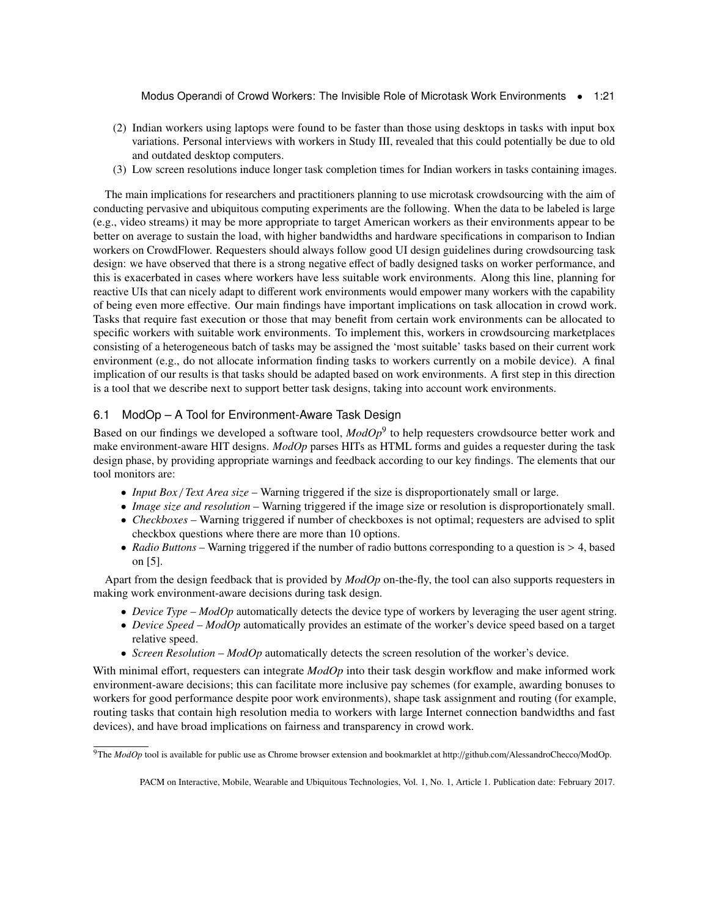- (2) Indian workers using laptops were found to be faster than those using desktops in tasks with input box variations. Personal interviews with workers in Study III, revealed that this could potentially be due to old and outdated desktop computers.
- (3) Low screen resolutions induce longer task completion times for Indian workers in tasks containing images.

The main implications for researchers and practitioners planning to use microtask crowdsourcing with the aim of conducting pervasive and ubiquitous computing experiments are the following. When the data to be labeled is large (e.g., video streams) it may be more appropriate to target American workers as their environments appear to be better on average to sustain the load, with higher bandwidths and hardware specifications in comparison to Indian workers on CrowdFlower. Requesters should always follow good UI design guidelines during crowdsourcing task design: we have observed that there is a strong negative effect of badly designed tasks on worker performance, and this is exacerbated in cases where workers have less suitable work environments. Along this line, planning for reactive UIs that can nicely adapt to different work environments would empower many workers with the capability of being even more effective. Our main findings have important implications on task allocation in crowd work. Tasks that require fast execution or those that may benefit from certain work environments can be allocated to specific workers with suitable work environments. To implement this, workers in crowdsourcing marketplaces consisting of a heterogeneous batch of tasks may be assigned the 'most suitable' tasks based on their current work environment (e.g., do not allocate information finding tasks to workers currently on a mobile device). A final implication of our results is that tasks should be adapted based on work environments. A first step in this direction is a tool that we describe next to support better task designs, taking into account work environments.

# 6.1 ModOp – A Tool for Environment-Aware Task Design

Based on our findings we developed a software tool,  $ModOp<sup>9</sup>$  $ModOp<sup>9</sup>$  $ModOp<sup>9</sup>$  to help requesters crowdsource better work and make environment-aware HIT designs. *ModOp* parses HITs as HTML forms and guides a requester during the task design phase, by providing appropriate warnings and feedback according to our key findings. The elements that our tool monitors are:

- *Input Box* / *Text Area size* Warning triggered if the size is disproportionately small or large.
- *Image size and resolution* Warning triggered if the image size or resolution is disproportionately small.
- *Checkboxes* Warning triggered if number of checkboxes is not optimal; requesters are advised to split checkbox questions where there are more than 10 options.
- *Radio Buttons* Warning triggered if the number of radio buttons corresponding to a question is > 4, based on [\[5\]](#page-24-20).

Apart from the design feedback that is provided by *ModOp* on-the-fly, the tool can also supports requesters in making work environment-aware decisions during task design.

- *Device Type ModOp* automatically detects the device type of workers by leveraging the user agent string.
- *Device Speed ModOp* automatically provides an estimate of the worker's device speed based on a target relative speed.
- *Screen Resolution ModOp* automatically detects the screen resolution of the worker's device.

With minimal effort, requesters can integrate *ModOp* into their task desgin workflow and make informed work environment-aware decisions; this can facilitate more inclusive pay schemes (for example, awarding bonuses to workers for good performance despite poor work environments), shape task assignment and routing (for example, routing tasks that contain high resolution media to workers with large Internet connection bandwidths and fast devices), and have broad implications on fairness and transparency in crowd work.

<sup>&</sup>lt;sup>9</sup>The *ModOp* tool is available for public use as Chrome browser extension and bookmarklet at http://github.com/[AlessandroChecco](http://github.com/AlessandroChecco/ModOp)/ModOp.

PACM on Interactive, Mobile, Wearable and Ubiquitous Technologies, Vol. 1, No. 1, Article 1. Publication date: February 2017.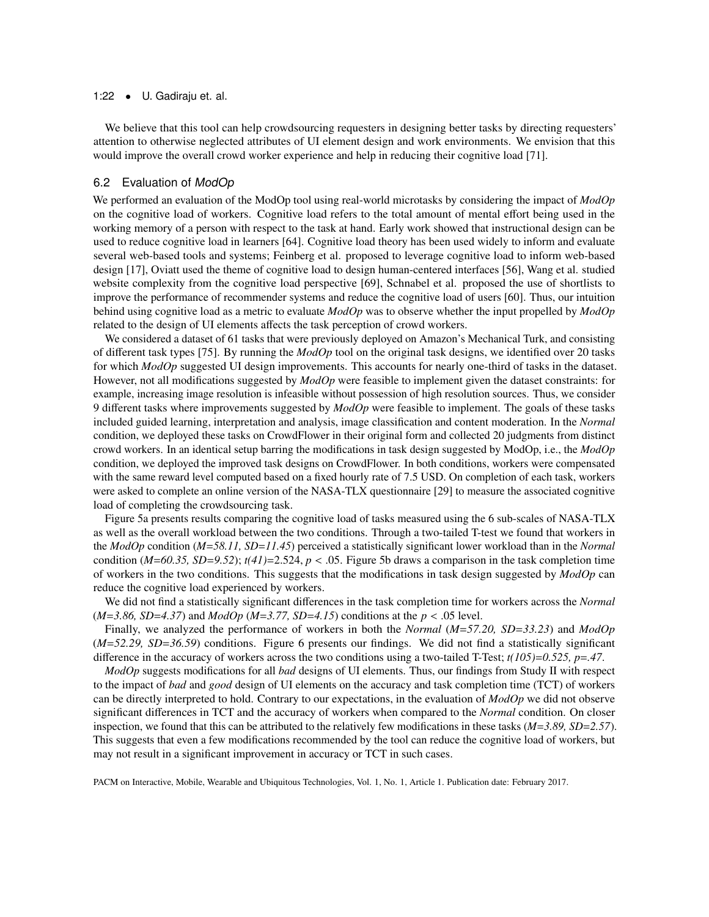### 1:22 • U. Gadiraju et. al.

<span id="page-22-0"></span>We believe that this tool can help crowdsourcing requesters in designing better tasks by directing requesters' attention to otherwise neglected attributes of UI element design and work environments. We envision that this would improve the overall crowd worker experience and help in reducing their cognitive load [\[71\]](#page-26-22).

### 6.2 Evaluation of ModOp

We performed an evaluation of the ModOp tool using real-world microtasks by considering the impact of *ModOp* on the cognitive load of workers. Cognitive load refers to the total amount of mental effort being used in the working memory of a person with respect to the task at hand. Early work showed that instructional design can be used to reduce cognitive load in learners [\[64\]](#page-26-23). Cognitive load theory has been used widely to inform and evaluate several web-based tools and systems; Feinberg et al. proposed to leverage cognitive load to inform web-based design [\[17\]](#page-24-21), Oviatt used the theme of cognitive load to design human-centered interfaces [\[56\]](#page-26-24), Wang et al. studied website complexity from the cognitive load perspective [\[69\]](#page-26-25), Schnabel et al. proposed the use of shortlists to improve the performance of recommender systems and reduce the cognitive load of users [\[60\]](#page-26-26). Thus, our intuition behind using cognitive load as a metric to evaluate *ModOp* was to observe whether the input propelled by *ModOp* related to the design of UI elements affects the task perception of crowd workers.

<span id="page-22-1"></span>We considered a dataset of 61 tasks that were previously deployed on Amazon's Mechanical Turk, and consisting of different task types [\[75\]](#page-26-18). By running the *ModOp* tool on the original task designs, we identified over 20 tasks for which *ModOp* suggested UI design improvements. This accounts for nearly one-third of tasks in the dataset. However, not all modifications suggested by *ModOp* were feasible to implement given the dataset constraints: for example, increasing image resolution is infeasible without possession of high resolution sources. Thus, we consider 9 different tasks where improvements suggested by *ModOp* were feasible to implement. The goals of these tasks included guided learning, interpretation and analysis, image classification and content moderation. In the *Normal* condition, we deployed these tasks on CrowdFlower in their original form and collected 20 judgments from distinct crowd workers. In an identical setup barring the modifications in task design suggested by ModOp, i.e., the *ModOp* condition, we deployed the improved task designs on CrowdFlower. In both conditions, workers were compensated with the same reward level computed based on a fixed hourly rate of 7.5 USD. On completion of each task, workers were asked to complete an online version of the NASA-TLX questionnaire [\[29\]](#page-25-27) to measure the associated cognitive load of completing the crowdsourcing task.

Figure [5a](#page-22-0) presents results comparing the cognitive load of tasks measured using the 6 sub-scales of NASA-TLX as well as the overall workload between the two conditions. Through a two-tailed T-test we found that workers in the *ModOp* condition (*M*=*58.11, SD*=*11.45*) perceived a statistically significant lower workload than in the *Normal* condition ( $M=60.35$ ,  $SD=9.52$ );  $t(41)=2.524$ ,  $p < .05$ . Figure [5b](#page-22-0) draws a comparison in the task completion time of workers in the two conditions. This suggests that the modifications in task design suggested by *ModOp* can reduce the cognitive load experienced by workers.

We did not find a statistically significant differences in the task completion time for workers across the *Normal* (*M*=*3.86, SD*=*4.37*) and *ModOp* (*M*=*3.77, SD*=*4.15*) conditions at the *p* < .05 level.

Finally, we analyzed the performance of workers in both the *Normal* (*M*=*57.20, SD*=*33.23*) and *ModOp* (*M*=*52.29, SD*=*36.59*) conditions. Figure [6](#page-22-1) presents our findings. We did not find a statistically significant difference in the accuracy of workers across the two conditions using a two-tailed T-Test; *t(105)*=*0.525, p*=*.47*.

*ModOp* suggests modifications for all *bad* designs of UI elements. Thus, our findings from Study II with respect to the impact of *bad* and *good* design of UI elements on the accuracy and task completion time (TCT) of workers can be directly interpreted to hold. Contrary to our expectations, in the evaluation of *ModOp* we did not observe significant differences in TCT and the accuracy of workers when compared to the *Normal* condition. On closer inspection, we found that this can be attributed to the relatively few modifications in these tasks (*M*=*3.89, SD*=*2.57*). This suggests that even a few modifications recommended by the tool can reduce the cognitive load of workers, but may not result in a significant improvement in accuracy or TCT in such cases.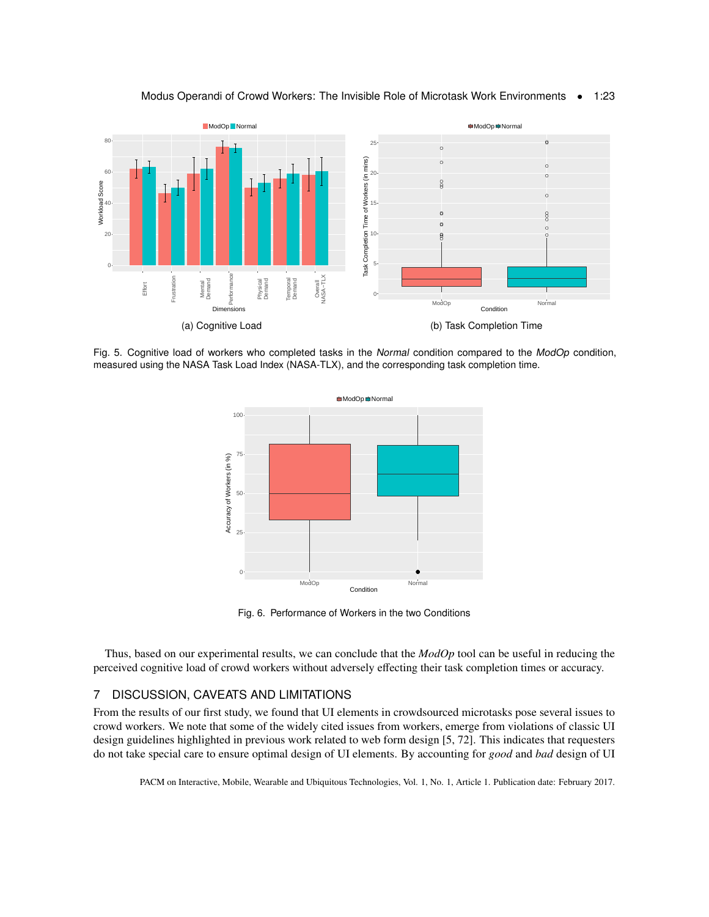

Modus Operandi of Crowd Workers: The Invisible Role of Microtask Work Environments • 1:23

Fig. 5. Cognitive load of workers who completed tasks in the Normal condition compared to the ModOp condition, measured using the NASA Task Load Index (NASA-TLX), and the corresponding task completion time.



Fig. 6. Performance of Workers in the two Conditions

Thus, based on our experimental results, we can conclude that the *ModOp* tool can be useful in reducing the perceived cognitive load of crowd workers without adversely effecting their task completion times or accuracy.

# 7 DISCUSSION, CAVEATS AND LIMITATIONS

From the results of our first study, we found that UI elements in crowdsourced microtasks pose several issues to crowd workers. We note that some of the widely cited issues from workers, emerge from violations of classic UI design guidelines highlighted in previous work related to web form design [\[5,](#page-24-20) [72\]](#page-26-19). This indicates that requesters do not take special care to ensure optimal design of UI elements. By accounting for *good* and *bad* design of UI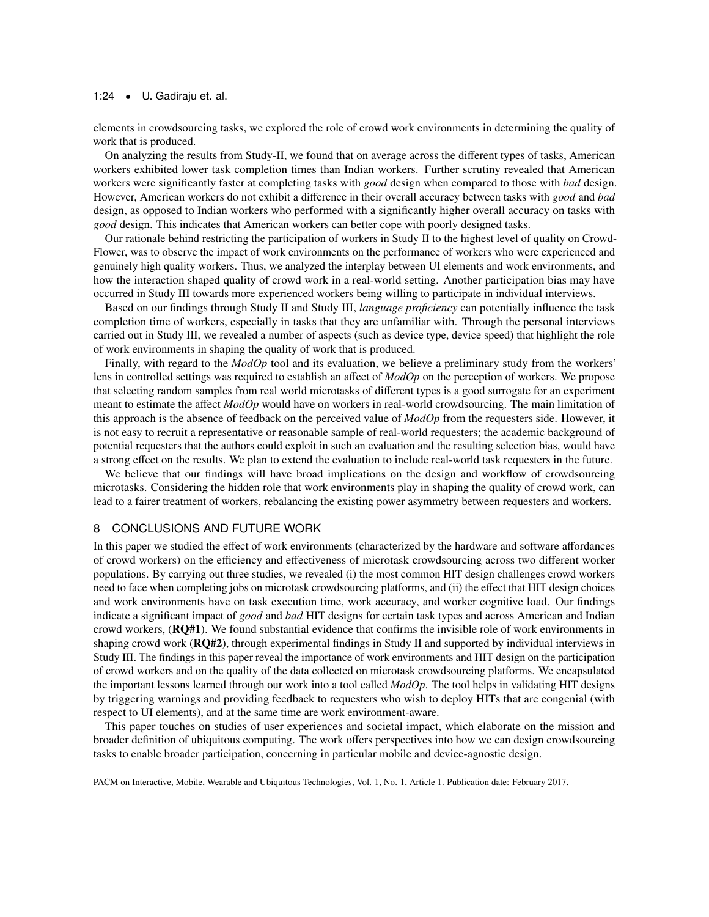### 1:24 • U. Gadiraju et. al.

elements in crowdsourcing tasks, we explored the role of crowd work environments in determining the quality of work that is produced.

On analyzing the results from Study-II, we found that on average across the different types of tasks, American workers exhibited lower task completion times than Indian workers. Further scrutiny revealed that American workers were significantly faster at completing tasks with *good* design when compared to those with *bad* design. However, American workers do not exhibit a difference in their overall accuracy between tasks with *good* and *bad* design, as opposed to Indian workers who performed with a significantly higher overall accuracy on tasks with *good* design. This indicates that American workers can better cope with poorly designed tasks.

<span id="page-24-19"></span><span id="page-24-14"></span><span id="page-24-6"></span>Our rationale behind restricting the participation of workers in Study II to the highest level of quality on Crowd-Flower, was to observe the impact of work environments on the performance of workers who were experienced and genuinely high quality workers. Thus, we analyzed the interplay between UI elements and work environments, and how the interaction shaped quality of crowd work in a real-world setting. Another participation bias may have occurred in Study III towards more experienced workers being willing to participate in individual interviews.

<span id="page-24-20"></span><span id="page-24-18"></span><span id="page-24-13"></span>Based on our findings through Study II and Study III, *language proficiency* can potentially influence the task completion time of workers, especially in tasks that they are unfamiliar with. Through the personal interviews carried out in Study III, we revealed a number of aspects (such as device type, device speed) that highlight the role of work environments in shaping the quality of work that is produced.

<span id="page-24-8"></span><span id="page-24-5"></span><span id="page-24-0"></span>Finally, with regard to the *ModOp* tool and its evaluation, we believe a preliminary study from the workers' lens in controlled settings was required to establish an affect of *ModOp* on the perception of workers. We propose that selecting random samples from real world microtasks of different types is a good surrogate for an experiment meant to estimate the affect *ModOp* would have on workers in real-world crowdsourcing. The main limitation of this approach is the absence of feedback on the perceived value of *ModOp* from the requesters side. However, it is not easy to recruit a representative or reasonable sample of real-world requesters; the academic background of potential requesters that the authors could exploit in such an evaluation and the resulting selection bias, would have a strong effect on the results. We plan to extend the evaluation to include real-world task requesters in the future.

<span id="page-24-17"></span><span id="page-24-16"></span><span id="page-24-10"></span><span id="page-24-1"></span>We believe that our findings will have broad implications on the design and workflow of crowdsourcing microtasks. Considering the hidden role that work environments play in shaping the quality of crowd work, can lead to a fairer treatment of workers, rebalancing the existing power asymmetry between requesters and workers.

# <span id="page-24-7"></span>8 CONCLUSIONS AND FUTURE WORK

<span id="page-24-21"></span><span id="page-24-11"></span><span id="page-24-3"></span><span id="page-24-2"></span>In this paper we studied the effect of work environments (characterized by the hardware and software affordances of crowd workers) on the efficiency and effectiveness of microtask crowdsourcing across two different worker populations. By carrying out three studies, we revealed (i) the most common HIT design challenges crowd workers need to face when completing jobs on microtask crowdsourcing platforms, and (ii) the effect that HIT design choices and work environments have on task execution time, work accuracy, and worker cognitive load. Our findings indicate a significant impact of *good* and *bad* HIT designs for certain task types and across American and Indian crowd workers, (RQ#1). We found substantial evidence that confirms the invisible role of work environments in shaping crowd work (RQ#2), through experimental findings in Study II and supported by individual interviews in Study III. The findings in this paper reveal the importance of work environments and HIT design on the participation of crowd workers and on the quality of the data collected on microtask crowdsourcing platforms. We encapsulated the important lessons learned through our work into a tool called *ModOp*. The tool helps in validating HIT designs by triggering warnings and providing feedback to requesters who wish to deploy HITs that are congenial (with respect to UI elements), and at the same time are work environment-aware.

<span id="page-24-15"></span><span id="page-24-12"></span><span id="page-24-9"></span><span id="page-24-4"></span>This paper touches on studies of user experiences and societal impact, which elaborate on the mission and broader definition of ubiquitous computing. The work offers perspectives into how we can design crowdsourcing tasks to enable broader participation, concerning in particular mobile and device-agnostic design.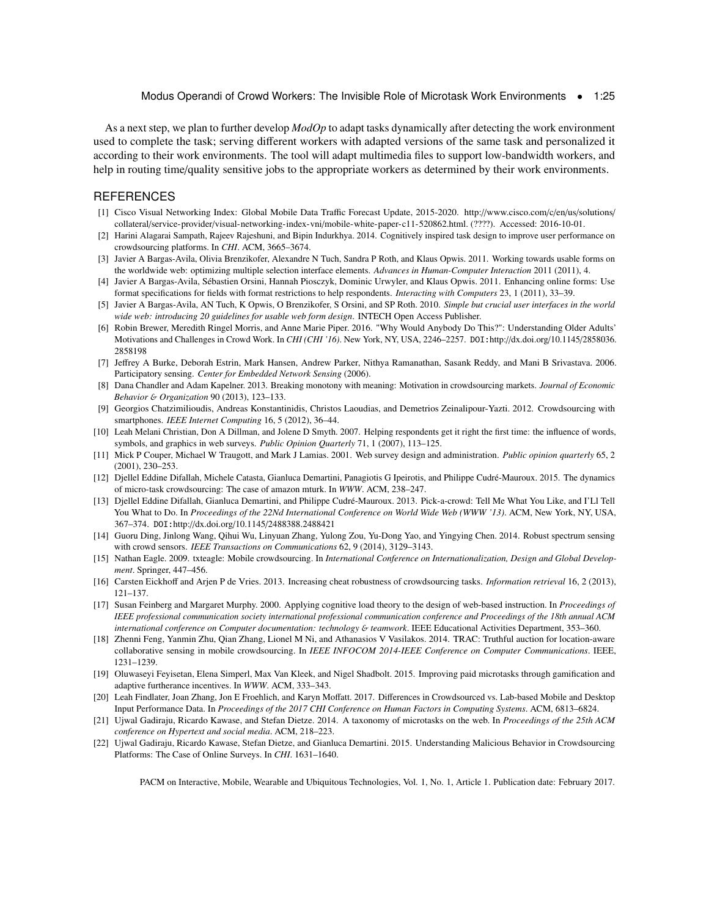<span id="page-25-22"></span><span id="page-25-5"></span>As a next step, we plan to further develop *ModOp* to adapt tasks dynamically after detecting the work environment used to complete the task; serving different workers with adapted versions of the same task and personalized it according to their work environments. The tool will adapt multimedia files to support low-bandwidth workers, and help in routing time/quality sensitive jobs to the appropriate workers as determined by their work environments.

### <span id="page-25-26"></span><span id="page-25-12"></span><span id="page-25-8"></span>REFERENCES

- [1] Cisco Visual Networking Index: Global Mobile Data Traffic Forecast Update, 2015-2020. http://[www.cisco.com](http://www.cisco.com/c/en/us/solutions/collateral/service-provider/visual-networking-index-vni/mobile-white-paper-c11-520862.html)/c/en/us/solutions/ collateral/service-provider/visual-networking-index-vni/[mobile-white-paper-c11-520862.html.](http://www.cisco.com/c/en/us/solutions/collateral/service-provider/visual-networking-index-vni/mobile-white-paper-c11-520862.html) (????). Accessed: 2016-10-01.
- <span id="page-25-15"></span>[2] Harini Alagarai Sampath, Rajeev Rajeshuni, and Bipin Indurkhya. 2014. Cognitively inspired task design to improve user performance on crowdsourcing platforms. In *CHI*. ACM, 3665–3674.
- <span id="page-25-27"></span>[3] Javier A Bargas-Avila, Olivia Brenzikofer, Alexandre N Tuch, Sandra P Roth, and Klaus Opwis. 2011. Working towards usable forms on the worldwide web: optimizing multiple selection interface elements. *Advances in Human-Computer Interaction* 2011 (2011), 4.
- <span id="page-25-25"></span>[4] Javier A Bargas-Avila, Sébastien Orsini, Hannah Piosczyk, Dominic Urwyler, and Klaus Opwis. 2011. Enhancing online forms: Use format specifications for fields with format restrictions to help respondents. *Interacting with Computers* 23, 1 (2011), 33–39.
- <span id="page-25-14"></span>[5] Javier A Bargas-Avila, AN Tuch, K Opwis, O Brenzikofer, S Orsini, and SP Roth. 2010. *Simple but crucial user interfaces in the world wide web: introducing 20 guidelines for usable web form design*. INTECH Open Access Publisher.
- <span id="page-25-4"></span>[6] Robin Brewer, Meredith Ringel Morris, and Anne Marie Piper. 2016. "Why Would Anybody Do This?": Understanding Older Adults' Motivations and Challenges in Crowd Work. In *CHI (CHI '16)*. New York, NY, USA, 2246–2257. DOI:http://[dx.doi.org](http://dx.doi.org/10.1145/2858036.2858198)/10.1145/2858036. [2858198](http://dx.doi.org/10.1145/2858036.2858198)
- <span id="page-25-11"></span><span id="page-25-3"></span>[7] Jeffrey A Burke, Deborah Estrin, Mark Hansen, Andrew Parker, Nithya Ramanathan, Sasank Reddy, and Mani B Srivastava. 2006. Participatory sensing. *Center for Embedded Network Sensing* (2006).
- <span id="page-25-23"></span>[8] Dana Chandler and Adam Kapelner. 2013. Breaking monotony with meaning: Motivation in crowdsourcing markets. *Journal of Economic Behavior* & *Organization* 90 (2013), 123–133.
- <span id="page-25-13"></span>[9] Georgios Chatzimilioudis, Andreas Konstantinidis, Christos Laoudias, and Demetrios Zeinalipour-Yazti. 2012. Crowdsourcing with smartphones. *IEEE Internet Computing* 16, 5 (2012), 36–44.
- <span id="page-25-19"></span>[10] Leah Melani Christian, Don A Dillman, and Jolene D Smyth. 2007. Helping respondents get it right the first time: the influence of words, symbols, and graphics in web surveys. *Public Opinion Quarterly* 71, 1 (2007), 113–125.
- <span id="page-25-1"></span>[11] Mick P Couper, Michael W Traugott, and Mark J Lamias. 2001. Web survey design and administration. *Public opinion quarterly* 65, 2 (2001), 230–253.
- <span id="page-25-10"></span>[12] Djellel Eddine Difallah, Michele Catasta, Gianluca Demartini, Panagiotis G Ipeirotis, and Philippe Cudré-Mauroux. 2015. The dynamics of micro-task crowdsourcing: The case of amazon mturk. In *WWW*. ACM, 238–247.
- <span id="page-25-18"></span>[13] Djellel Eddine Difallah, Gianluca Demartini, and Philippe Cudré-Mauroux. 2013. Pick-a-crowd: Tell Me What You Like, and I'Ll Tell You What to Do. In *Proceedings of the 22Nd International Conference on World Wide Web (WWW '13)*. ACM, New York, NY, USA, 367–374. DOI:http://dx.doi.org/10.1145/[2488388.2488421](http://dx.doi.org/10.1145/2488388.2488421)
- <span id="page-25-20"></span><span id="page-25-7"></span>[14] Guoru Ding, Jinlong Wang, Qihui Wu, Linyuan Zhang, Yulong Zou, Yu-Dong Yao, and Yingying Chen. 2014. Robust spectrum sensing with crowd sensors. *IEEE Transactions on Communications* 62, 9 (2014), 3129–3143.
- <span id="page-25-2"></span>[15] Nathan Eagle. 2009. txteagle: Mobile crowdsourcing. In *International Conference on Internationalization, Design and Global Development*. Springer, 447–456.
- <span id="page-25-6"></span>[16] Carsten Eickhoff and Arjen P de Vries. 2013. Increasing cheat robustness of crowdsourcing tasks. *Information retrieval* 16, 2 (2013), 121–137.
- <span id="page-25-24"></span>[17] Susan Feinberg and Margaret Murphy. 2000. Applying cognitive load theory to the design of web-based instruction. In *Proceedings of IEEE professional communication society international professional communication conference and Proceedings of the 18th annual ACM international conference on Computer documentation: technology* & *teamwork*. IEEE Educational Activities Department, 353–360.
- <span id="page-25-0"></span>[18] Zhenni Feng, Yanmin Zhu, Qian Zhang, Lionel M Ni, and Athanasios V Vasilakos. 2014. TRAC: Truthful auction for location-aware collaborative sensing in mobile crowdsourcing. In *IEEE INFOCOM 2014-IEEE Conference on Computer Communications*. IEEE, 1231–1239.
- <span id="page-25-21"></span>[19] Oluwaseyi Feyisetan, Elena Simperl, Max Van Kleek, and Nigel Shadbolt. 2015. Improving paid microtasks through gamification and adaptive furtherance incentives. In *WWW*. ACM, 333–343.
- <span id="page-25-16"></span><span id="page-25-9"></span>[20] Leah Findlater, Joan Zhang, Jon E Froehlich, and Karyn Moffatt. 2017. Differences in Crowdsourced vs. Lab-based Mobile and Desktop Input Performance Data. In *Proceedings of the 2017 CHI Conference on Human Factors in Computing Systems*. ACM, 6813–6824.
- <span id="page-25-17"></span>[21] Ujwal Gadiraju, Ricardo Kawase, and Stefan Dietze. 2014. A taxonomy of microtasks on the web. In *Proceedings of the 25th ACM conference on Hypertext and social media*. ACM, 218–223.
- [22] Ujwal Gadiraju, Ricardo Kawase, Stefan Dietze, and Gianluca Demartini. 2015. Understanding Malicious Behavior in Crowdsourcing Platforms: The Case of Online Surveys. In *CHI*. 1631–1640.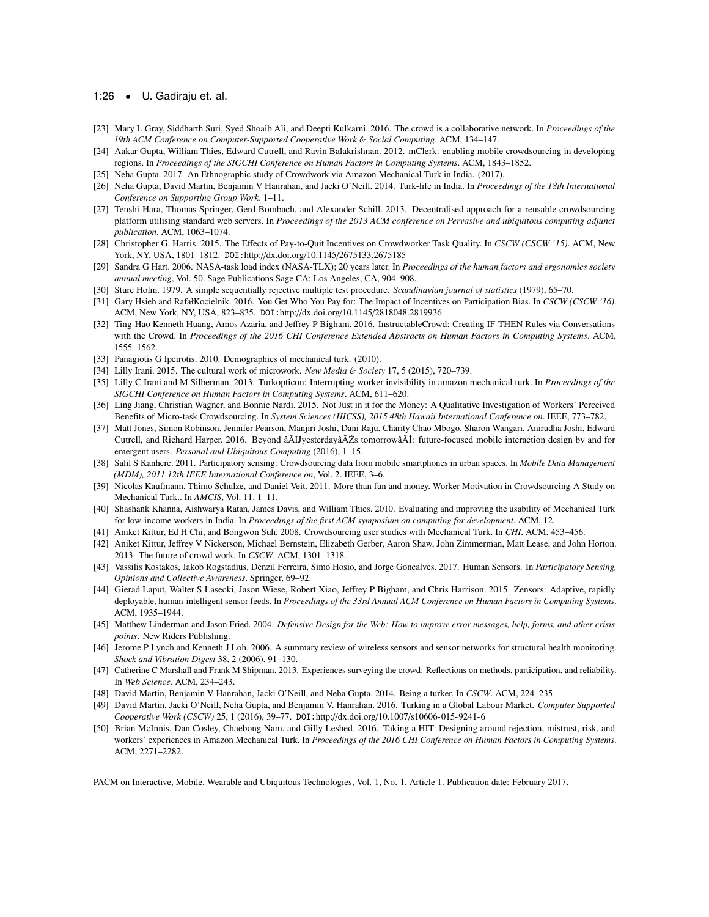#### <span id="page-26-0"></span>1:26 • U. Gadiraju et. al.

- <span id="page-26-6"></span>[23] Mary L Gray, Siddharth Suri, Syed Shoaib Ali, and Deepti Kulkarni. 2016. The crowd is a collaborative network. In *Proceedings of the 19th ACM Conference on Computer-Supported Cooperative Work* & *Social Computing*. ACM, 134–147.
- <span id="page-26-2"></span>[24] Aakar Gupta, William Thies, Edward Cutrell, and Ravin Balakrishnan. 2012. mClerk: enabling mobile crowdsourcing in developing regions. In *Proceedings of the SIGCHI Conference on Human Factors in Computing Systems*. ACM, 1843–1852.
- [25] Neha Gupta. 2017. An Ethnographic study of Crowdwork via Amazon Mechanical Turk in India. (2017).
- <span id="page-26-17"></span>[26] Neha Gupta, David Martin, Benjamin V Hanrahan, and Jacki O'Neill. 2014. Turk-life in India. In *Proceedings of the 18th International Conference on Supporting Group Work*. 1–11.
- <span id="page-26-8"></span>[27] Tenshi Hara, Thomas Springer, Gerd Bombach, and Alexander Schill. 2013. Decentralised approach for a reusable crowdsourcing platform utilising standard web servers. In *Proceedings of the 2013 ACM conference on Pervasive and ubiquitous computing adjunct publication*. ACM, 1063–1074.
- <span id="page-26-24"></span><span id="page-26-13"></span>[28] Christopher G. Harris. 2015. The Effects of Pay-to-Quit Incentives on Crowdworker Task Quality. In *CSCW (CSCW '15)*. ACM, New York, NY, USA, 1801–1812. DOI:http://dx.doi.org/10.1145/[2675133.2675185](http://dx.doi.org/10.1145/2675133.2675185)
- <span id="page-26-20"></span>[29] Sandra G Hart. 2006. NASA-task load index (NASA-TLX); 20 years later. In *Proceedings of the human factors and ergonomics society annual meeting*, Vol. 50. Sage Publications Sage CA: Los Angeles, CA, 904–908.
- [30] Sture Holm. 1979. A simple sequentially rejective multiple test procedure. *Scandinavian journal of statistics* (1979), 65–70.
- <span id="page-26-5"></span>[31] Gary Hsieh and RafałKocielnik. 2016. You Get Who You Pay for: The Impact of Incentives on Participation Bias. In *CSCW (CSCW '16)*. ACM, New York, NY, USA, 823–835. DOI:http://dx.doi.org/10.1145/[2818048.2819936](http://dx.doi.org/10.1145/2818048.2819936)
- <span id="page-26-10"></span>[32] Ting-Hao Kenneth Huang, Amos Azaria, and Jeffrey P Bigham. 2016. InstructableCrowd: Creating IF-THEN Rules via Conversations with the Crowd. In *Proceedings of the 2016 CHI Conference Extended Abstracts on Human Factors in Computing Systems*. ACM, 1555–1562.
- <span id="page-26-26"></span>[33] Panagiotis G Ipeirotis. 2010. Demographics of mechanical turk. (2010).
- [34] Lilly Irani. 2015. The cultural work of microwork. *New Media* & *Society* 17, 5 (2015), 720–739.
- <span id="page-26-7"></span>[35] Lilly C Irani and M Silberman. 2013. Turkopticon: Interrupting worker invisibility in amazon mechanical turk. In *Proceedings of the SIGCHI Conference on Human Factors in Computing Systems*. ACM, 611–620.
- <span id="page-26-16"></span>[36] Ling Jiang, Christian Wagner, and Bonnie Nardi. 2015. Not Just in it for the Money: A Qualitative Investigation of Workers' Perceived Benefits of Micro-task Crowdsourcing. In *System Sciences (HICSS), 2015 48th Hawaii International Conference on*. IEEE, 773–782.
- <span id="page-26-14"></span>[37] Matt Jones, Simon Robinson, Jennifer Pearson, Manjiri Joshi, Dani Raju, Charity Chao Mbogo, Sharon Wangari, Anirudha Joshi, Edward Cutrell, and Richard Harper. 2016. Beyond âAIJyesterdayâ AZs tomorrowâ AI: future-focused mobile interaction design by and for emergent users. *Personal and Ubiquitous Computing* (2016), 1–15.
- <span id="page-26-23"></span><span id="page-26-21"></span>[38] Salil S Kanhere. 2011. Participatory sensing: Crowdsourcing data from mobile smartphones in urban spaces. In *Mobile Data Management (MDM), 2011 12th IEEE International Conference on*, Vol. 2. IEEE, 3–6.
- <span id="page-26-15"></span>[39] Nicolas Kaufmann, Thimo Schulze, and Daniel Veit. 2011. More than fun and money. Worker Motivation in Crowdsourcing-A Study on Mechanical Turk.. In *AMCIS*, Vol. 11. 1–11.
- [40] Shashank Khanna, Aishwarya Ratan, James Davis, and William Thies. 2010. Evaluating and improving the usability of Mechanical Turk for low-income workers in India. In *Proceedings of the first ACM symposium on computing for development*. ACM, 12.
- <span id="page-26-11"></span>[41] Aniket Kittur, Ed H Chi, and Bongwon Suh. 2008. Crowdsourcing user studies with Mechanical Turk. In *CHI*. ACM, 453–456.
- <span id="page-26-12"></span>[42] Aniket Kittur, Jeffrey V Nickerson, Michael Bernstein, Elizabeth Gerber, Aaron Shaw, John Zimmerman, Matt Lease, and John Horton. 2013. The future of crowd work. In *CSCW*. ACM, 1301–1318.
- <span id="page-26-25"></span>[43] Vassilis Kostakos, Jakob Rogstadius, Denzil Ferreira, Simo Hosio, and Jorge Goncalves. 2017. Human Sensors. In *Participatory Sensing, Opinions and Collective Awareness*. Springer, 69–92.
- <span id="page-26-3"></span>[44] Gierad Laput, Walter S Lasecki, Jason Wiese, Robert Xiao, Jeffrey P Bigham, and Chris Harrison. 2015. Zensors: Adaptive, rapidly deployable, human-intelligent sensor feeds. In *Proceedings of the 33rd Annual ACM Conference on Human Factors in Computing Systems*. ACM, 1935–1944.
- <span id="page-26-22"></span><span id="page-26-19"></span>[45] Matthew Linderman and Jason Fried. 2004. *Defensive Design for the Web: How to improve error messages, help, forms, and other crisis points*. New Riders Publishing.
- <span id="page-26-4"></span>[46] Jerome P Lynch and Kenneth J Loh. 2006. A summary review of wireless sensors and sensor networks for structural health monitoring. *Shock and Vibration Digest* 38, 2 (2006), 91–130.
- <span id="page-26-9"></span>[47] Catherine C Marshall and Frank M Shipman. 2013. Experiences surveying the crowd: Reflections on methods, participation, and reliability. In *Web Science*. ACM, 234–243.
- <span id="page-26-18"></span>[48] David Martin, Benjamin V Hanrahan, Jacki O'Neill, and Neha Gupta. 2014. Being a turker. In *CSCW*. ACM, 224–235.
- <span id="page-26-1"></span>[49] David Martin, Jacki O'Neill, Neha Gupta, and Benjamin V. Hanrahan. 2016. Turking in a Global Labour Market. *Computer Supported Cooperative Work (CSCW)* 25, 1 (2016), 39–77. DOI:http://dx.doi.org/10.1007/[s10606-015-9241-6](http://dx.doi.org/10.1007/s10606-015-9241-6)
- [50] Brian McInnis, Dan Cosley, Chaebong Nam, and Gilly Leshed. 2016. Taking a HIT: Designing around rejection, mistrust, risk, and workers' experiences in Amazon Mechanical Turk. In *Proceedings of the 2016 CHI Conference on Human Factors in Computing Systems*. ACM, 2271–2282.